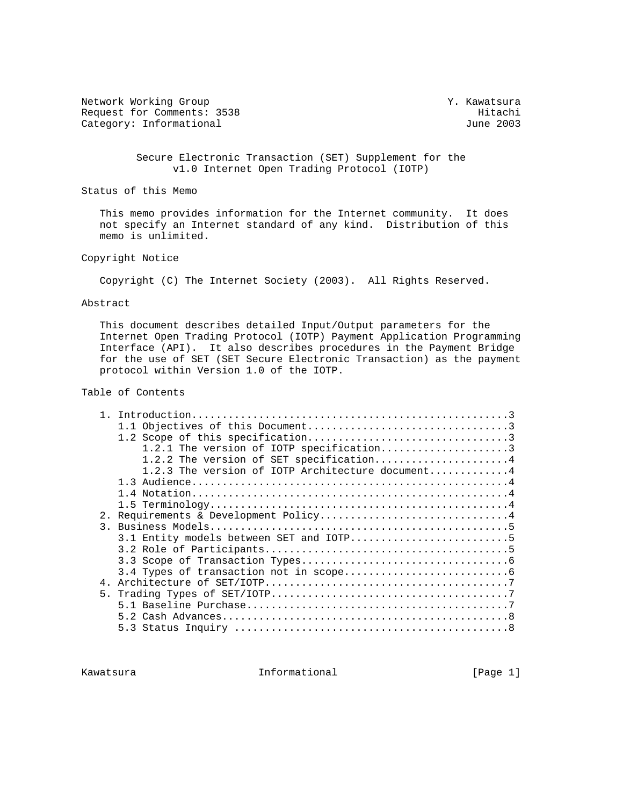Network Working Group Network Working Group Request for Comments: 3538 Hitachi (Exemple 2003 Hitachi (Exemple 2003 Hitachi (Exemple 2003 Hitachi (Exemple 2003 Hitachi (Exemple 2003 Hitachi (Exemple 2003 Hitachi (Exemple 2003 Hitachi (Exemple 2003 Hitachi (Exemple 20 Category: Informational

 Secure Electronic Transaction (SET) Supplement for the v1.0 Internet Open Trading Protocol (IOTP)

Status of this Memo

 This memo provides information for the Internet community. It does not specify an Internet standard of any kind. Distribution of this memo is unlimited.

Copyright Notice

Copyright (C) The Internet Society (2003). All Rights Reserved.

Abstract

 This document describes detailed Input/Output parameters for the Internet Open Trading Protocol (IOTP) Payment Application Programming Interface (API). It also describes procedures in the Payment Bridge for the use of SET (SET Secure Electronic Transaction) as the payment protocol within Version 1.0 of the IOTP.

# Table of Contents

|  | 1.2.1 The version of IOTP specification3         |
|--|--------------------------------------------------|
|  | 1.2.2 The version of SET specification4          |
|  | 1.2.3 The version of IOTP Architecture document4 |
|  |                                                  |
|  |                                                  |
|  |                                                  |
|  | 2. Requirements & Development Policy4            |
|  |                                                  |
|  |                                                  |
|  |                                                  |
|  |                                                  |
|  |                                                  |
|  |                                                  |
|  |                                                  |
|  |                                                  |
|  |                                                  |
|  |                                                  |
|  |                                                  |

Kawatsura 11 - Informational 11 - Informational [Page 1]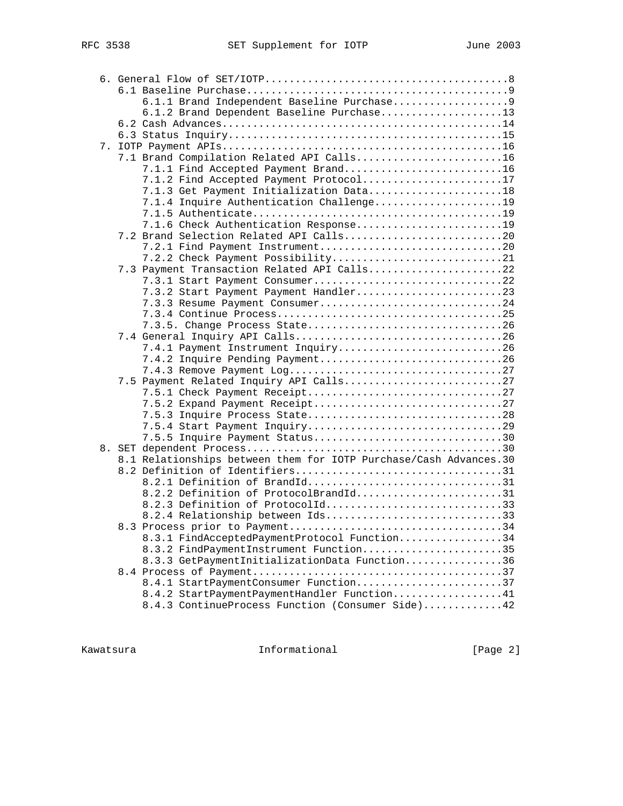|  | 6.1.1 Brand Independent Baseline Purchase9                        |
|--|-------------------------------------------------------------------|
|  | 6.1.2 Brand Dependent Baseline Purchase13                         |
|  |                                                                   |
|  |                                                                   |
|  |                                                                   |
|  | 7.1 Brand Compilation Related API Calls16                         |
|  | 7.1.1 Find Accepted Payment Brand16                               |
|  | 7.1.2 Find Accepted Payment Protocol17                            |
|  | 7.1.3 Get Payment Initialization Data18                           |
|  | 7.1.4 Inquire Authentication Challenge19                          |
|  |                                                                   |
|  | 7.1.6 Check Authentication Response19                             |
|  | 7.2 Brand Selection Related API Calls20                           |
|  | 7.2.1 Find Payment Instrument20                                   |
|  | 7.2.2 Check Payment Possibility21                                 |
|  | 7.3 Payment Transaction Related API Calls22                       |
|  | 7.3.1 Start Payment Consumer22                                    |
|  | 7.3.2 Start Payment Payment Handler23                             |
|  | 7.3.3 Resume Payment Consumer24                                   |
|  |                                                                   |
|  | 7.3.5. Change Process State26                                     |
|  |                                                                   |
|  | 7.4.1 Payment Instrument Inquiry26                                |
|  | 7.4.2 Inquire Pending Payment26                                   |
|  |                                                                   |
|  | 7.5 Payment Related Inquiry API Calls27                           |
|  |                                                                   |
|  |                                                                   |
|  |                                                                   |
|  |                                                                   |
|  | 7.5.5 Inquire Payment Status30                                    |
|  |                                                                   |
|  | 8.1 Relationships between them for IOTP Purchase/Cash Advances.30 |
|  |                                                                   |
|  | 8.2.1 Definition of BrandId31                                     |
|  | 8.2.2 Definition of ProtocolBrandId31                             |
|  | 8.2.3 Definition of ProtocolId33                                  |
|  | 8.2.4 Relationship between Ids33                                  |
|  |                                                                   |
|  | 8.3.1 FindAcceptedPaymentProtocol Function34                      |
|  | 8.3.2 FindPaymentInstrument Function35                            |
|  | 8.3.3 GetPaymentInitializationData Function36                     |
|  |                                                                   |
|  | 8.4.1 StartPaymentConsumer Function37                             |
|  | 8.4.2 StartPaymentPaymentHandler Function41                       |
|  | 8.4.3 ContinueProcess Function (Consumer Side)42                  |
|  |                                                                   |

Kawatsura 10 Informational 111 [Page 2]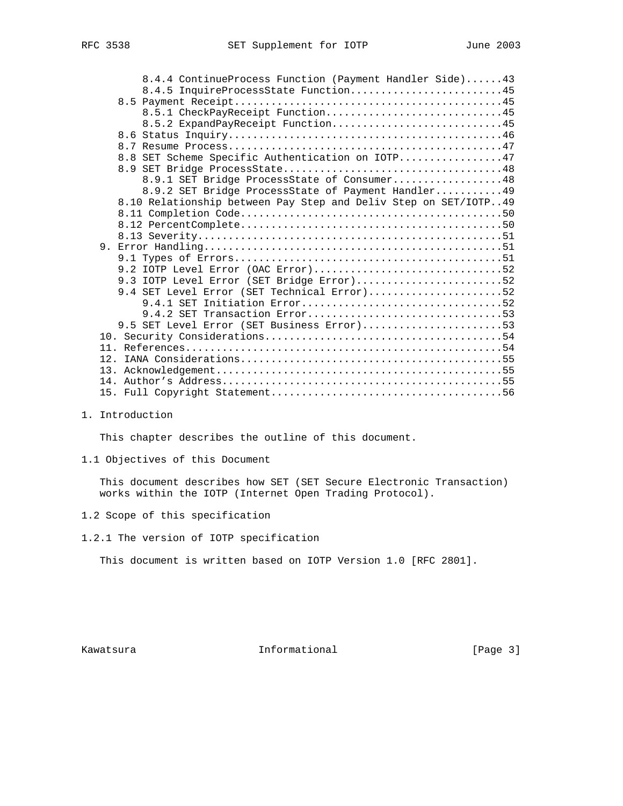| טכככ סי |  |  |
|---------|--|--|
|         |  |  |
|         |  |  |
|         |  |  |

| 8.4.4 ContinueProcess Function (Payment Handler Side)43         |
|-----------------------------------------------------------------|
| 8.4.5 InquireProcessState Function45                            |
|                                                                 |
| 8.5.1 CheckPayReceipt Function45                                |
| 8.5.2 ExpandPayReceipt Function45                               |
|                                                                 |
|                                                                 |
| 8.8 SET Scheme Specific Authentication on IOTP47                |
|                                                                 |
| 8.9.1 SET Bridge ProcessState of Consumer48                     |
| 8.9.2 SET Bridge ProcessState of Payment Handler49              |
| 8.10 Relationship between Pay Step and Deliv Step on SET/IOTP49 |
|                                                                 |
|                                                                 |
|                                                                 |
|                                                                 |
|                                                                 |
| 9.2 IOTP Level Error (OAC Error)52                              |
| 9.3 IOTP Level Error (SET Bridge Error)52                       |
| 9.4 SET Level Error (SET Technical Error)52                     |
| 9.4.1 SET Initiation Error52                                    |
| $9.4.2$ SET Transaction Error53                                 |
| 9.5 SET Level Error (SET Business Error)53                      |
|                                                                 |
|                                                                 |
|                                                                 |
|                                                                 |
|                                                                 |
|                                                                 |

1. Introduction

This chapter describes the outline of this document.

1.1 Objectives of this Document

 This document describes how SET (SET Secure Electronic Transaction) works within the IOTP (Internet Open Trading Protocol).

- 1.2 Scope of this specification
- 1.2.1 The version of IOTP specification

This document is written based on IOTP Version 1.0 [RFC 2801].

Kawatsura 10 Informational 111 [Page 3]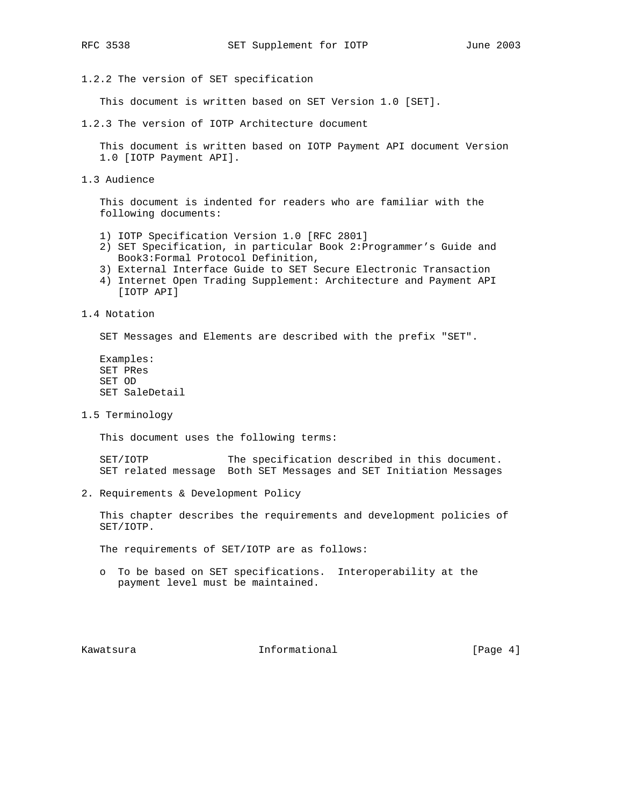1.2.2 The version of SET specification

This document is written based on SET Version 1.0 [SET].

1.2.3 The version of IOTP Architecture document

 This document is written based on IOTP Payment API document Version 1.0 [IOTP Payment API].

1.3 Audience

 This document is indented for readers who are familiar with the following documents:

- 1) IOTP Specification Version 1.0 [RFC 2801]
- 2) SET Specification, in particular Book 2:Programmer's Guide and Book3:Formal Protocol Definition,
- 3) External Interface Guide to SET Secure Electronic Transaction
- 4) Internet Open Trading Supplement: Architecture and Payment API [IOTP API]

1.4 Notation

SET Messages and Elements are described with the prefix "SET".

 Examples: SET PRes SET OD SET SaleDetail

1.5 Terminology

This document uses the following terms:

 SET/IOTP The specification described in this document. SET related message Both SET Messages and SET Initiation Messages

2. Requirements & Development Policy

 This chapter describes the requirements and development policies of SET/IOTP.

The requirements of SET/IOTP are as follows:

 o To be based on SET specifications. Interoperability at the payment level must be maintained.

Kawatsura 10 1nformational 1999 (Page 4)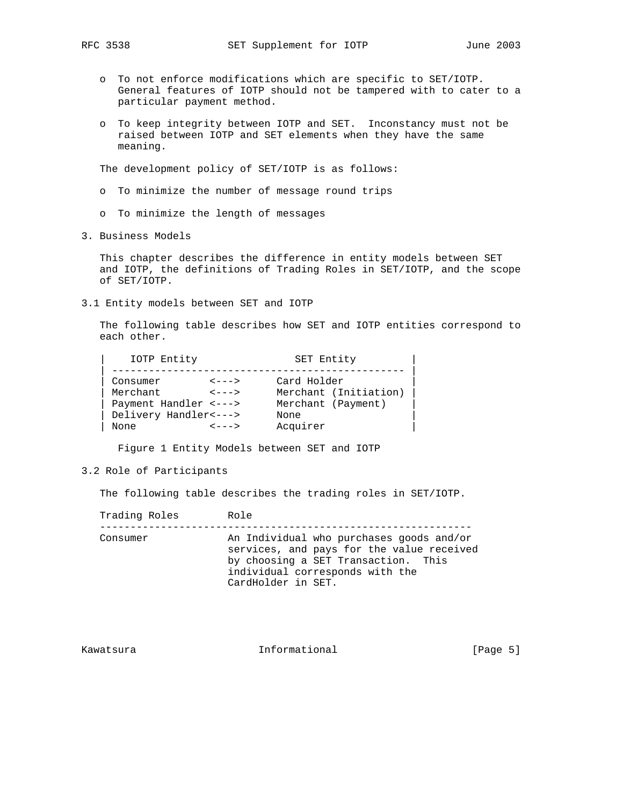- o To not enforce modifications which are specific to SET/IOTP. General features of IOTP should not be tampered with to cater to a particular payment method.
- o To keep integrity between IOTP and SET. Inconstancy must not be raised between IOTP and SET elements when they have the same meaning.

The development policy of SET/IOTP is as follows:

- o To minimize the number of message round trips
- o To minimize the length of messages
- 3. Business Models

 This chapter describes the difference in entity models between SET and IOTP, the definitions of Trading Roles in SET/IOTP, and the scope of SET/IOTP.

3.1 Entity models between SET and IOTP

 The following table describes how SET and IOTP entities correspond to each other.

| IOTP Entity            |                                    | SET Entity            |  |  |
|------------------------|------------------------------------|-----------------------|--|--|
| Consumer               | $\left\langle - - - \right\rangle$ | Card Holder           |  |  |
| Merchant               | $\leftarrow$ - - >                 | Merchant (Initiation) |  |  |
| Payment Handler <--->  |                                    | Merchant (Payment)    |  |  |
| Delivery Handler <---> |                                    | None                  |  |  |
| None                   | <u> &lt; - - - &gt;</u>            | Acquirer              |  |  |

Figure 1 Entity Models between SET and IOTP

3.2 Role of Participants

The following table describes the trading roles in SET/IOTP.

 Trading Roles Role ------------------------------------------------------------- Consumer An Individual who purchases goods and/or services, and pays for the value received by choosing a SET Transaction. This individual corresponds with the CardHolder in SET.

Kawatsura 10 1nformational 1999 [Page 5]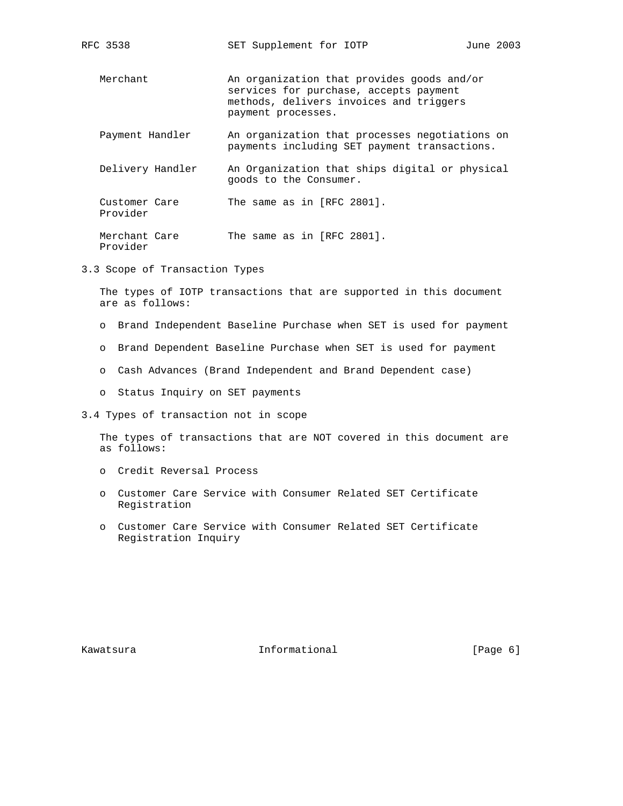| Merchant                  | An organization that provides goods and/or<br>services for purchase, accepts payment<br>methods, delivers invoices and triggers<br>payment processes. |
|---------------------------|-------------------------------------------------------------------------------------------------------------------------------------------------------|
| Payment Handler           | An organization that processes negotiations on<br>payments including SET payment transactions.                                                        |
| Delivery Handler          | An Organization that ships digital or physical<br>goods to the Consumer.                                                                              |
| Customer Care<br>Provider | The same as in [RFC 2801].                                                                                                                            |
| Merchant Care<br>Provider | The same as in [RFC 2801].                                                                                                                            |

RFC 3538 SET Supplement for IOTP June 2003

3.3 Scope of Transaction Types

 The types of IOTP transactions that are supported in this document are as follows:

- o Brand Independent Baseline Purchase when SET is used for payment
- o Brand Dependent Baseline Purchase when SET is used for payment
- o Cash Advances (Brand Independent and Brand Dependent case)
- o Status Inquiry on SET payments
- 3.4 Types of transaction not in scope

 The types of transactions that are NOT covered in this document are as follows:

- o Credit Reversal Process
- o Customer Care Service with Consumer Related SET Certificate Registration
- o Customer Care Service with Consumer Related SET Certificate Registration Inquiry

Kawatsura 10 1nformational 1999 (Page 6)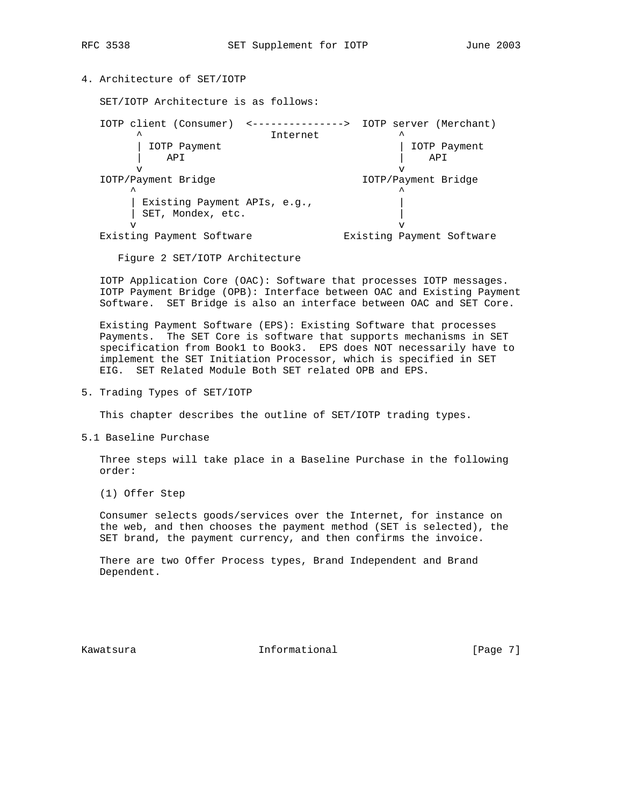# 4. Architecture of SET/IOTP

 SET/IOTP Architecture is as follows: IOTP client (Consumer) <---------------> IOTP server (Merchant) ^ Internet ^ | IOTP Payment | IOTP Payment | IOTP Payment | IOTP Payment | IOTP Payment | IOTP Payment | IOTP Payment | IOTP Payment | IOTP Payment | IOTP Payment | IOTP Payment | IOTP Payment | IOTP Payment | IOTP Payment | IOTP Payme | API | API v v IOTP/Payment Bridge IOTP/Payment Bridge  $\wedge$   $\wedge$   $\wedge$   $\wedge$   $\wedge$   $\wedge$   $\wedge$   $\wedge$   $\wedge$   $\wedge$   $\wedge$   $\wedge$   $\wedge$   $\wedge$   $\wedge$   $\wedge$   $\wedge$   $\wedge$   $\wedge$   $\wedge$   $\wedge$   $\wedge$   $\wedge$   $\wedge$   $\wedge$   $\wedge$   $\wedge$   $\wedge$   $\wedge$   $\wedge$   $\wedge$   $\wedge$   $\wedge$   $\wedge$   $\wedge$   $\wedge$   $\wedge$  | Existing Payment APIs, e.g., | | SET, Mondex, etc. | v v Existing Payment Software Existing Payment Software

Figure 2 SET/IOTP Architecture

 IOTP Application Core (OAC): Software that processes IOTP messages. IOTP Payment Bridge (OPB): Interface between OAC and Existing Payment Software. SET Bridge is also an interface between OAC and SET Core.

 Existing Payment Software (EPS): Existing Software that processes Payments. The SET Core is software that supports mechanisms in SET specification from Book1 to Book3. EPS does NOT necessarily have to implement the SET Initiation Processor, which is specified in SET EIG. SET Related Module Both SET related OPB and EPS.

5. Trading Types of SET/IOTP

This chapter describes the outline of SET/IOTP trading types.

5.1 Baseline Purchase

 Three steps will take place in a Baseline Purchase in the following order:

(1) Offer Step

 Consumer selects goods/services over the Internet, for instance on the web, and then chooses the payment method (SET is selected), the SET brand, the payment currency, and then confirms the invoice.

 There are two Offer Process types, Brand Independent and Brand Dependent.

Kawatsura 10 1nformational 1999 [Page 7]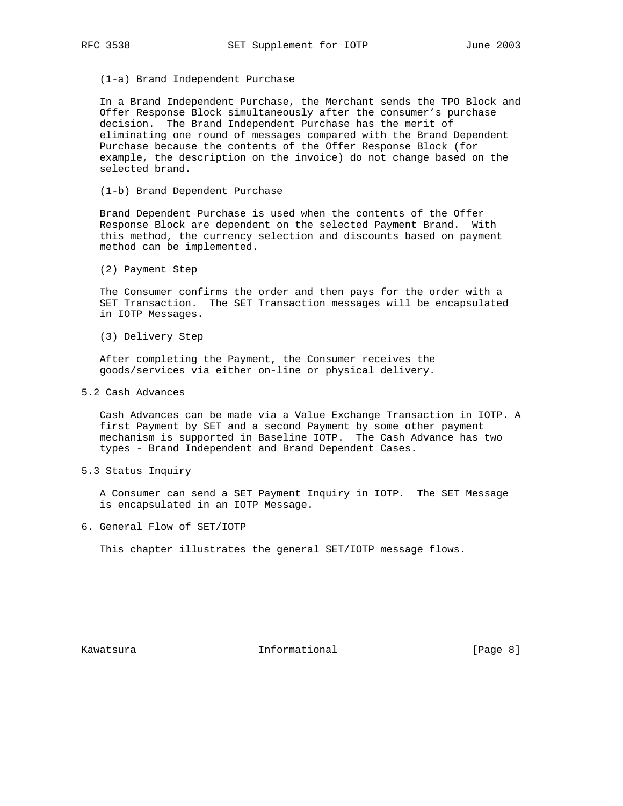(1-a) Brand Independent Purchase

 In a Brand Independent Purchase, the Merchant sends the TPO Block and Offer Response Block simultaneously after the consumer's purchase decision. The Brand Independent Purchase has the merit of eliminating one round of messages compared with the Brand Dependent Purchase because the contents of the Offer Response Block (for example, the description on the invoice) do not change based on the selected brand.

(1-b) Brand Dependent Purchase

 Brand Dependent Purchase is used when the contents of the Offer Response Block are dependent on the selected Payment Brand. With this method, the currency selection and discounts based on payment method can be implemented.

(2) Payment Step

 The Consumer confirms the order and then pays for the order with a SET Transaction. The SET Transaction messages will be encapsulated in IOTP Messages.

(3) Delivery Step

 After completing the Payment, the Consumer receives the goods/services via either on-line or physical delivery.

5.2 Cash Advances

 Cash Advances can be made via a Value Exchange Transaction in IOTP. A first Payment by SET and a second Payment by some other payment mechanism is supported in Baseline IOTP. The Cash Advance has two types - Brand Independent and Brand Dependent Cases.

5.3 Status Inquiry

 A Consumer can send a SET Payment Inquiry in IOTP. The SET Message is encapsulated in an IOTP Message.

6. General Flow of SET/IOTP

This chapter illustrates the general SET/IOTP message flows.

Kawatsura 10 1nformational 1999 (Page 8)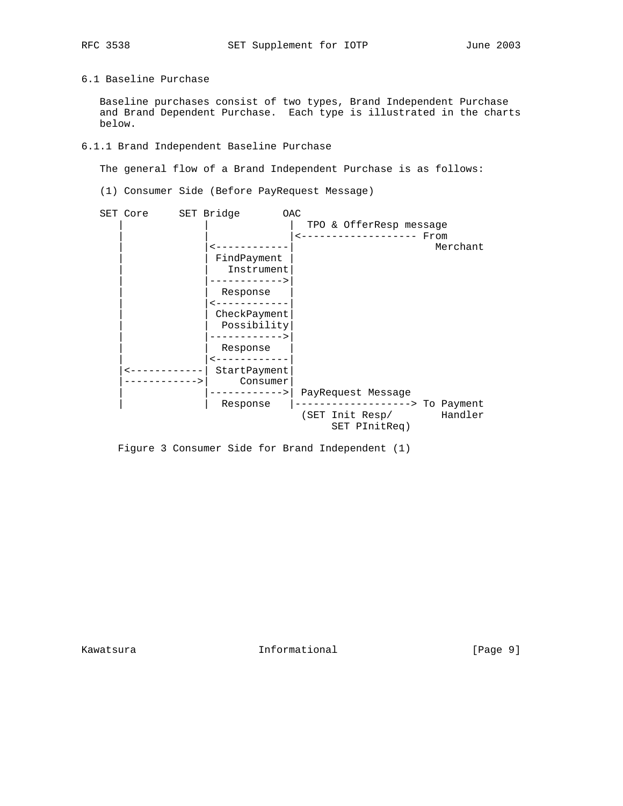6.1 Baseline Purchase

 Baseline purchases consist of two types, Brand Independent Purchase and Brand Dependent Purchase. Each type is illustrated in the charts below.

6.1.1 Brand Independent Baseline Purchase

The general flow of a Brand Independent Purchase is as follows:

(1) Consumer Side (Before PayRequest Message)



Figure 3 Consumer Side for Brand Independent (1)

Kawatsura 10 1nformational 1999 [Page 9]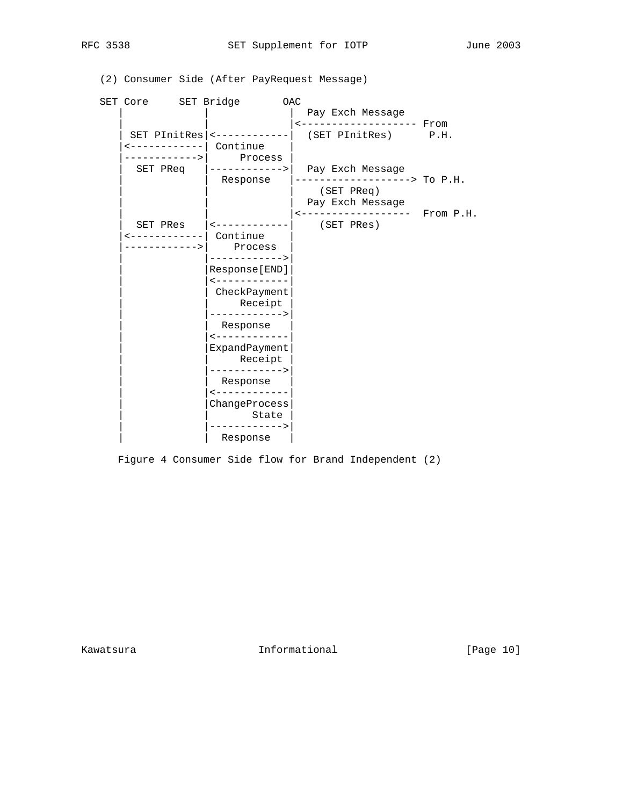(2) Consumer Side (After PayRequest Message)

| SET Core SET Bridge                     | OAC                                                    |                                                                                                    |  |
|-----------------------------------------|--------------------------------------------------------|----------------------------------------------------------------------------------------------------|--|
|                                         |                                                        | Pay Exch Message                                                                                   |  |
| <------------  Continue                 | SET PInitRes $ $ <------------                         | (SET PInitRes) P.H.                                                                                |  |
|                                         | ---------->  Process                                   | SET PReq  ------------>  Pay Exch Message                                                          |  |
|                                         | Response                                               | -------------------> To P.H.<br>(SET PReq)<br>Pay Exch Message<br><------------------    From P.H. |  |
|                                         | SET PRes $ $ <------------                             | (SET PRes)                                                                                         |  |
| <------------  Continue<br>-----------> | Process<br>----------->                                |                                                                                                    |  |
|                                         | Response [END]<br>$\leftarrow$ - - - - - - - - - - - - |                                                                                                    |  |
|                                         | CheckPayment<br>Receipt<br>----------->                |                                                                                                    |  |
|                                         | Response                                               |                                                                                                    |  |
|                                         | ------------                                           |                                                                                                    |  |
|                                         | ExpandPayment<br>Receipt                               |                                                                                                    |  |
|                                         | -----------><br>Response                               |                                                                                                    |  |
|                                         | ------------                                           |                                                                                                    |  |
|                                         | ChangeProcess<br>State                                 |                                                                                                    |  |
|                                         | $---------&>$<br>Response                              |                                                                                                    |  |

Figure 4 Consumer Side flow for Brand Independent (2)

Kawatsura 10 19 Informational 1999 [Page 10]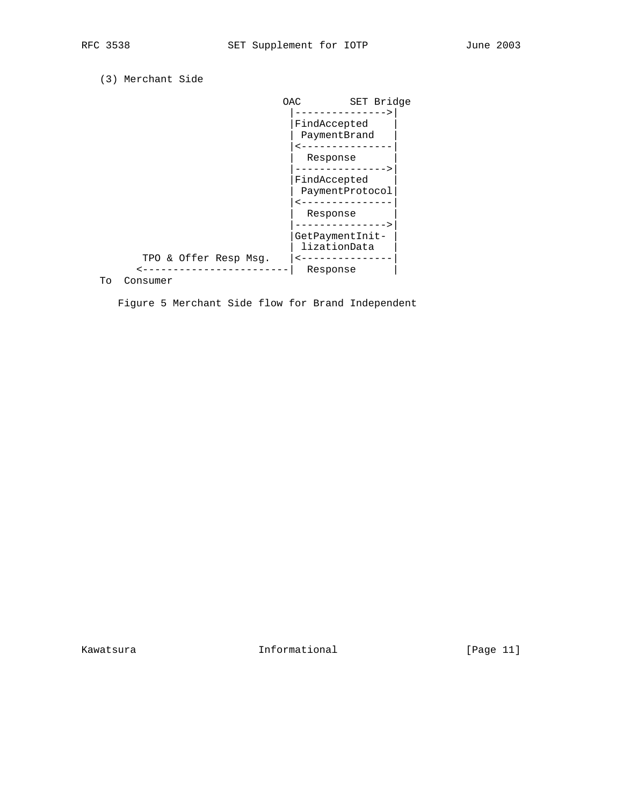```
 (3) Merchant Side
```


Figure 5 Merchant Side flow for Brand Independent

Kawatsura 10 1 Informational 11 1976 [Page 11]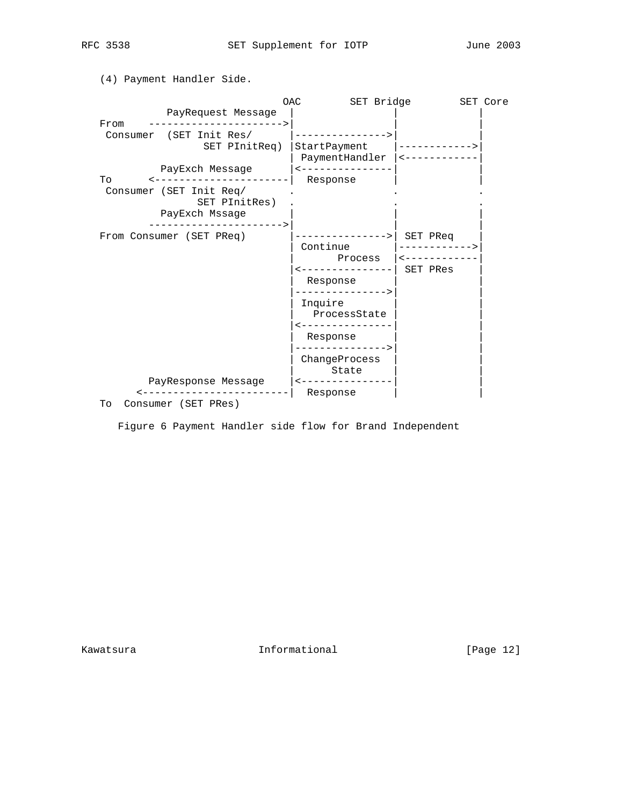OAC SET Bridge SET Core PayRequest Message | | | From -----------------------> Consumer (SET Init Res/ |--------------->| | SET PInitReq) |StartPayment |------------>| | PaymentHandler |<------------| PayExch Message |<---------------| | To <----------------------| Response | | Consumer (SET Init Req/  $\cdot$ SET PInitRes) . PayExch Mssage ---------------------->| | | From Consumer (SET PReq) | Continue |------------>| | Process |<------------| |<---------------| SET PRes |  $\mathop{\mathsf{Response}}$  |--------------->| | Inquire | ProcessState | |  $\leftarrow$  --------------- $\mathop{\mathsf{Response}}$  |--------------->| | | ChangeProcess | | | State | PayResponse Message |<---------------| | <------------------------| Response | | To Consumer (SET PRes)

(4) Payment Handler Side.

Figure 6 Payment Handler side flow for Brand Independent

Kawatsura **Informational** [Page 12]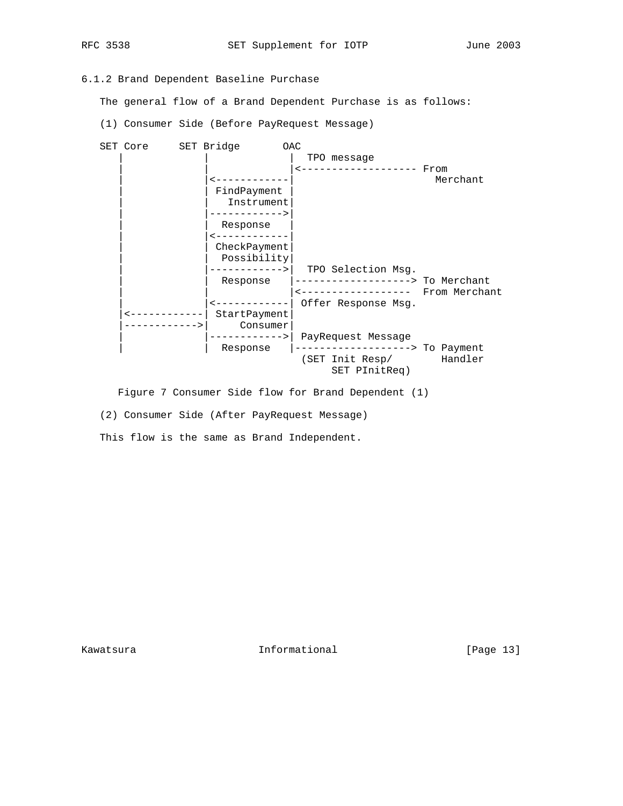6.1.2 Brand Dependent Baseline Purchase

The general flow of a Brand Dependent Purchase is as follows:

(1) Consumer Side (Before PayRequest Message)



Figure 7 Consumer Side flow for Brand Dependent (1)

(2) Consumer Side (After PayRequest Message)

This flow is the same as Brand Independent.

Kawatsura 10 Informational 111 [Page 13]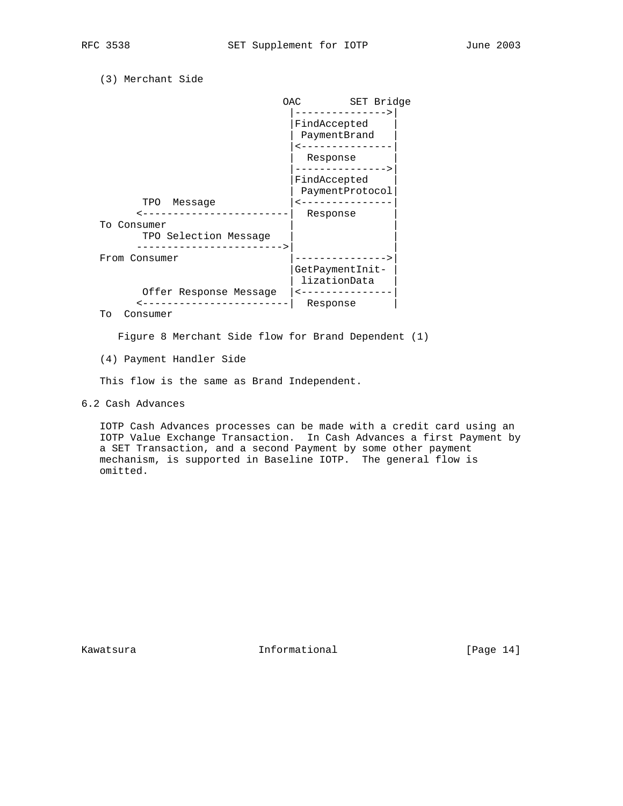```
 (3) Merchant Side
```


To Consumer

Figure 8 Merchant Side flow for Brand Dependent (1)

(4) Payment Handler Side

This flow is the same as Brand Independent.

6.2 Cash Advances

 IOTP Cash Advances processes can be made with a credit card using an IOTP Value Exchange Transaction. In Cash Advances a first Payment by a SET Transaction, and a second Payment by some other payment mechanism, is supported in Baseline IOTP. The general flow is omitted.

Kawatsura **Informational** [Page 14]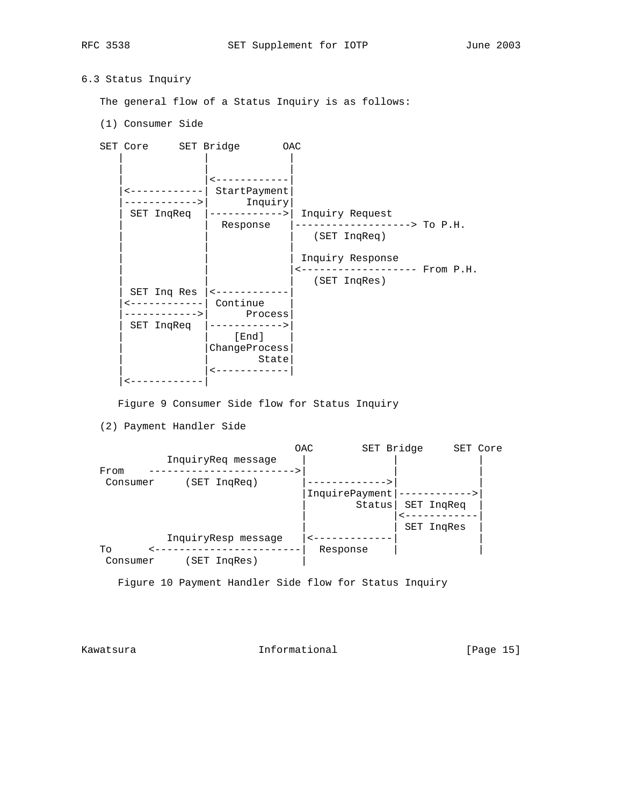# 6.3 Status Inquiry

The general flow of a Status Inquiry is as follows:

(1) Consumer Side

| SET Core |             | SET Bridge                          | OAC                             |               |
|----------|-------------|-------------------------------------|---------------------------------|---------------|
|          | SET InqReq  | StartPayment<br>Inquiry<br>Response | Inquiry Request<br>(SET InqReq) | ----> To P.H. |
|          |             |                                     | Inquiry Response                | From P.H.     |
|          |             |                                     | (SET InqRes)                    |               |
|          | SET Inq Res |                                     |                                 |               |
|          |             | Continue                            |                                 |               |
|          |             | Process                             |                                 |               |
|          | SET InqReq  | --------><br>[End]                  |                                 |               |
|          |             | ChangeProcess                       |                                 |               |
|          |             | State                               |                                 |               |
|          |             |                                     |                                 |               |
|          |             |                                     |                                 |               |
|          |             |                                     |                                 |               |

Figure 9 Consumer Side flow for Status Inquiry

(2) Payment Handler Side

 OAC SET Bridge SET Core InquiryReq message | | | From ----------------------->| | | | | Consumer (SET InqReq) |------------->| | |InquirePayment|------------>| | Status| SET InqReq | | |<------------| | | SET InqRes | InquiryResp message |<-------------| | To <------------------------| Response | | Consumer (SET InqRes) |

Figure 10 Payment Handler Side flow for Status Inquiry

Kawatsura 1992 - Informational 1994 - Informational Informational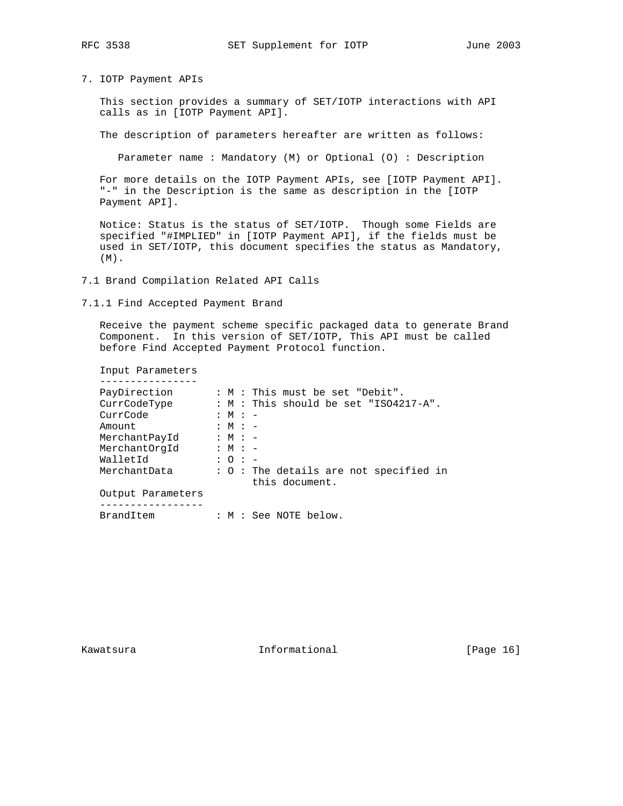7. IOTP Payment APIs

 This section provides a summary of SET/IOTP interactions with API calls as in [IOTP Payment API].

The description of parameters hereafter are written as follows:

Parameter name : Mandatory (M) or Optional (O) : Description

 For more details on the IOTP Payment APIs, see [IOTP Payment API]. "-" in the Description is the same as description in the [IOTP Payment API].

 Notice: Status is the status of SET/IOTP. Though some Fields are specified "#IMPLIED" in [IOTP Payment API], if the fields must be used in SET/IOTP, this document specifies the status as Mandatory, (M).

#### 7.1 Brand Compilation Related API Calls

7.1.1 Find Accepted Payment Brand

 Receive the payment scheme specific packaged data to generate Brand Component. In this version of SET/IOTP, This API must be called before Find Accepted Payment Protocol function.

Input Parameters

| PayDirection      |           | : M : This must be set "Debit".        |
|-------------------|-----------|----------------------------------------|
| CurrCodeType      |           | : M : This should be set "ISO4217-A".  |
| CurrCode          | $: M : -$ |                                        |
| Amount            | $: M : -$ |                                        |
| MerchantPayId     | $: M : -$ |                                        |
| MerchantOrgId     | $: M : -$ |                                        |
| WalletId          | $: 0 : -$ |                                        |
| MerchantData      |           | : 0 : The details are not specified in |
|                   |           | this document.                         |
| Output Parameters |           |                                        |
|                   |           |                                        |
| BrandItem         |           | : M : See NOTE below.                  |

Kawatsura 10 1nformational [Page 16]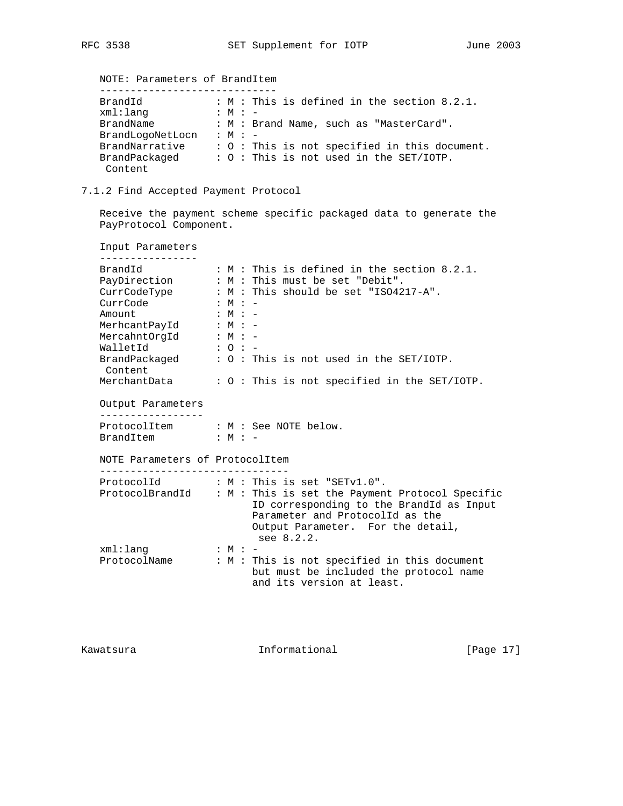| NOTE: Parameters of BrandItem |                                                 |  |  |  |  |  |  |  |  |
|-------------------------------|-------------------------------------------------|--|--|--|--|--|--|--|--|
|                               |                                                 |  |  |  |  |  |  |  |  |
| BrandId                       | : M : This is defined in the section 8.2.1.     |  |  |  |  |  |  |  |  |
| xml:lang                      | $: M : -$                                       |  |  |  |  |  |  |  |  |
| BrandName                     | : M : Brand Name, such as "MasterCard".         |  |  |  |  |  |  |  |  |
| BrandLogoNetLocn              | $: M : -$                                       |  |  |  |  |  |  |  |  |
| BrandNarrative                | : $0$ : This is not specified in this document. |  |  |  |  |  |  |  |  |
| BrandPackaged                 | $: 0:$ This is not used in the SET/IOTP.        |  |  |  |  |  |  |  |  |
| Content                       |                                                 |  |  |  |  |  |  |  |  |

7.1.2 Find Accepted Payment Protocol

 Receive the payment scheme specific packaged data to generate the PayProtocol Component.

| Input Parameters<br>. _ _ _ _ _ _ _ _ _ _ _ _ _ _ _ |                                                                                                                                                                                                         |
|-----------------------------------------------------|---------------------------------------------------------------------------------------------------------------------------------------------------------------------------------------------------------|
| BrandId                                             | : $M$ : This is defined in the section 8.2.1.                                                                                                                                                           |
|                                                     | PayDirection : $M :$ This must be set "Debit".                                                                                                                                                          |
|                                                     | CurrCodeType : $M : This should be set "ISO4217-A".$                                                                                                                                                    |
| CurrCode : M : -                                    |                                                                                                                                                                                                         |
| Amount                                              | $\therefore$ M $\therefore$ -                                                                                                                                                                           |
| MerhcantPayId : M : -                               |                                                                                                                                                                                                         |
| MercahntOrgId : M : -                               |                                                                                                                                                                                                         |
| WalletId                                            | $\cdot$ : 0 : -                                                                                                                                                                                         |
| Content                                             | BrandPackaged : $0:$ This is not used in the SET/IOTP.                                                                                                                                                  |
| MerchantData                                        | : 0 : This is not specified in the SET/IOTP.                                                                                                                                                            |
| Output Parameters<br>--------------                 |                                                                                                                                                                                                         |
|                                                     | ProtocolItem : M : See NOTE below.                                                                                                                                                                      |
| BrandItem : M : -                                   |                                                                                                                                                                                                         |
| NOTE Parameters of ProtocolItem<br>---------------- |                                                                                                                                                                                                         |
|                                                     | ProtocolId : M : This is set "SETv1.0".                                                                                                                                                                 |
|                                                     | $ProtocolBrandId$ : $M$ : This is set the Payment Protocol Specific<br>ID corresponding to the BrandId as Input<br>Parameter and ProtocolId as the<br>Output Parameter. For the detail,<br>see $8.2.2.$ |
| xml:lang                                            | $\therefore$ M $\therefore$ -                                                                                                                                                                           |
|                                                     | ProtocolName : M : This is not specified in this document<br>but must be included the protocol name<br>and its version at least.                                                                        |

Kawatsura 1992 - Informational 1994 - Informational Informational Informational Informational Informational Informational Informational Informational Informational Informational Informational Informational Informational In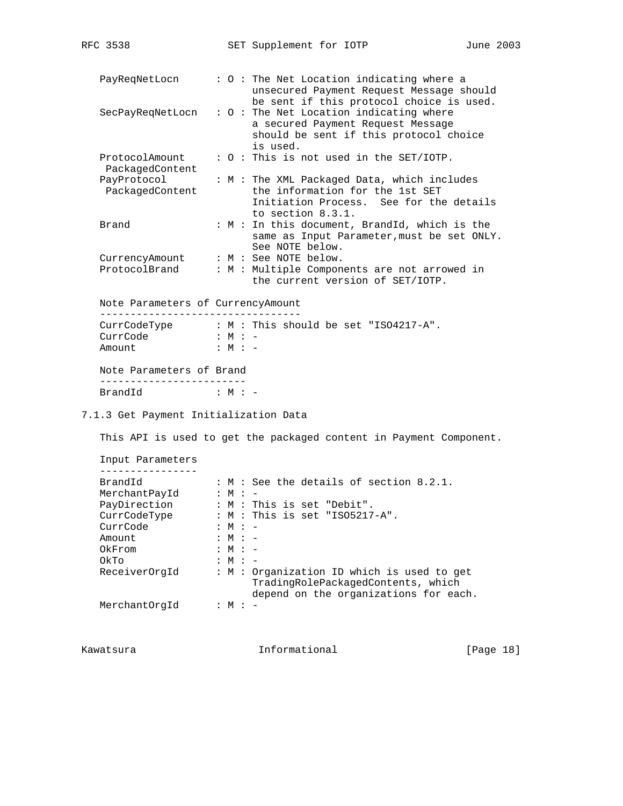| PayReqNetLocn                     | : 0 : The Net Location indicating where a<br>unsecured Payment Request Message should<br>be sent if this protocol choice is used.                 |  |
|-----------------------------------|---------------------------------------------------------------------------------------------------------------------------------------------------|--|
| SecPayReqNetLocn                  | $: 0:$ The Net Location indicating where<br>a secured Payment Request Message<br>should be sent if this protocol choice<br>is used.               |  |
| ProtocolAmount<br>PackagedContent | $: 0:$ This is not used in the SET/IOTP.                                                                                                          |  |
| PayProtocol<br>PackagedContent    | : M : The XML Packaged Data, which includes<br>the information for the 1st SET<br>Initiation Process. See for the details<br>to section $8.3.1$ . |  |
| Brand                             | : M : In this document, BrandId, which is the<br>same as Input Parameter, must be set ONLY.<br>See NOTE below.                                    |  |
| CurrencyAmount                    | : M : See NOTE below.                                                                                                                             |  |
| ProtocolBrand                     | : M : Multiple Components are not arrowed in<br>the current version of SET/IOTP.                                                                  |  |

Note Parameters of CurrencyAmount

| CurrCodeType             |           |  |  | : $M$ : This should be set "ISO4217-A". |
|--------------------------|-----------|--|--|-----------------------------------------|
| CurrCode                 | $: M : -$ |  |  |                                         |
| Amount                   | $: M : -$ |  |  |                                         |
| Note Parameters of Brand |           |  |  |                                         |
| BrandId                  | $:M: -$   |  |  |                                         |
|                          |           |  |  |                                         |

#### 7.1.3 Get Payment Initialization Data

This API is used to get the packaged content in Payment Component.

 Input Parameters ---------------- BrandId : M : See the details of section 8.2.1. MerchantPayId : M : - PayDirection : M : This is set "Debit". CurrCodeType : M : This is set "ISO5217-A". CurrCode : M : - CurrCode : M : -<br>
Amount : M : -<br>
OkFrom : M : -<br>
. M : -OkFrom : M : -OkTo : M : - ReceiverOrgId : M : Organization ID which is used to get TradingRolePackagedContents, which depend on the organizations for each. MerchantOrgId : M : -

Kawatsura 10 Informational 111 [Page 18]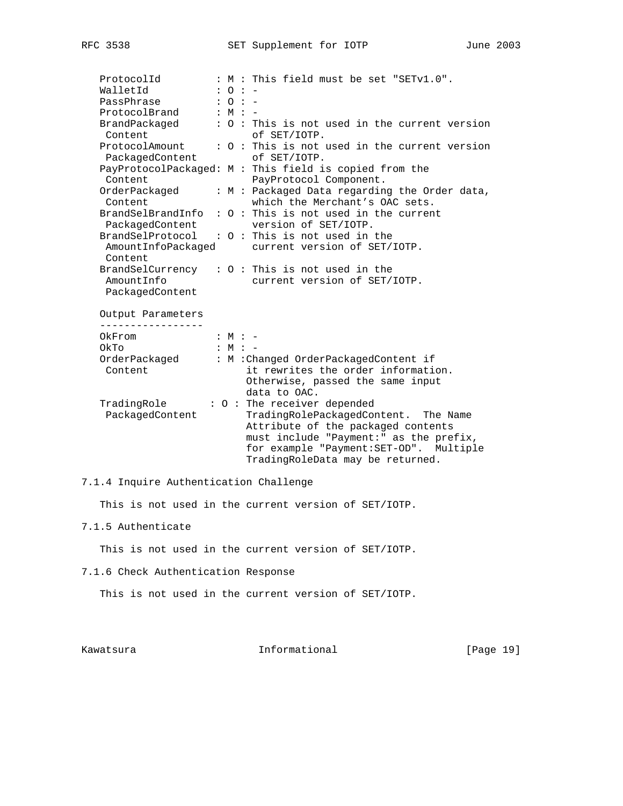| RFC 3538 | SET Supplement for IOTP |  | June 2003 |  |
|----------|-------------------------|--|-----------|--|
|          |                         |  |           |  |

|                   |                    | : M : This field must be set "SETv1.0".                                                                                                                                                        |
|-------------------|--------------------|------------------------------------------------------------------------------------------------------------------------------------------------------------------------------------------------|
|                   |                    |                                                                                                                                                                                                |
|                   |                    |                                                                                                                                                                                                |
|                   |                    |                                                                                                                                                                                                |
|                   |                    | : 0 : This is not used in the current version<br>of SET/IOTP.                                                                                                                                  |
| ProtocolAmount    |                    | : 0 : This is not used in the current version<br>of SET/IOTP.                                                                                                                                  |
|                   |                    | PayProtocolPackaged: M : This field is copied from the<br>PayProtocol Component.                                                                                                               |
|                   |                    | : M : Packaged Data regarding the Order data,<br>which the Merchant's OAC sets.                                                                                                                |
| BrandSelBrandInfo |                    | : 0 : This is not used in the current<br>version of SET/IOTP.                                                                                                                                  |
|                   |                    | : 0 : This is not used in the<br>current version of SET/IOTP.                                                                                                                                  |
|                   |                    | : 0 : This is not used in the<br>current version of SET/IOTP.                                                                                                                                  |
|                   |                    |                                                                                                                                                                                                |
|                   |                    |                                                                                                                                                                                                |
|                   |                    |                                                                                                                                                                                                |
|                   |                    | : M : Changed OrderPackagedContent if<br>it rewrites the order information.<br>Otherwise, passed the same input<br>data to OAC.                                                                |
|                   |                    | : 0 : The receiver depended<br>TradingRolePackagedContent. The Name<br>Attribute of the packaged contents<br>must include "Payment:" as the prefix,<br>for example "Payment: SET-OD". Multiple |
|                   | AmountInfoPackaged | $: 0 : -$<br>$: 0 : -$<br>$: M : -$<br>$: M : -$<br>$: M : -$                                                                                                                                  |

# 7.1.4 Inquire Authentication Challenge

This is not used in the current version of SET/IOTP.

# 7.1.5 Authenticate

This is not used in the current version of SET/IOTP.

7.1.6 Check Authentication Response

This is not used in the current version of SET/IOTP.

Kawatsura 1917 - Informational 1999 - Informational Informational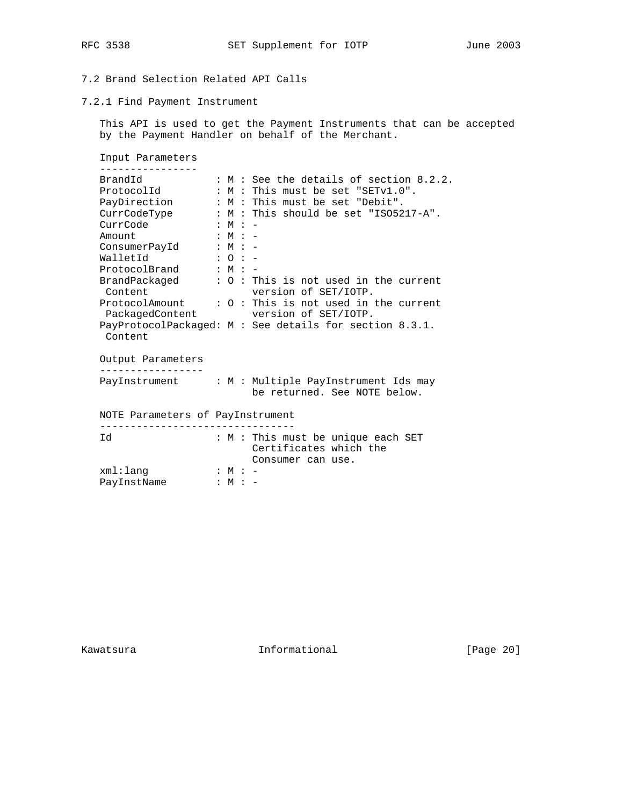# 7.2 Brand Selection Related API Calls

# 7.2.1 Find Payment Instrument

 This API is used to get the Payment Instruments that can be accepted by the Payment Handler on behalf of the Merchant.

| BrandId                                      |                               |           | : $M$ : See the details of section 8.2.2.                                                     |
|----------------------------------------------|-------------------------------|-----------|-----------------------------------------------------------------------------------------------|
| ProtocolId                                   |                               |           | : M : This must be set "SETv1.0".                                                             |
|                                              |                               |           | PayDirection : M : This must be set "Debit".                                                  |
| CurrCodeType                                 |                               |           | : M : This should be set "ISO5217-A".                                                         |
| CurrCode                                     | $\therefore$ M $\therefore$ - |           |                                                                                               |
| Amount                                       |                               | $:M: -$   |                                                                                               |
| ConsumerPayId                                |                               | $:M: -$   |                                                                                               |
| WalletId                                     |                               | $: 0 : -$ |                                                                                               |
| $ProtocolBrand : M : -$                      |                               |           |                                                                                               |
| Content                                      |                               |           | BrandPackaged : $0:$ This is not used in the current<br>version of SET/IOTP.                  |
|                                              |                               |           | ProtocolAmount : $0:$ This is not used in the current<br>PackagedContent version of SET/IOTP. |
| Content                                      |                               |           | PayProtocolPackaged: $M$ : See details for section 8.3.1.                                     |
| Output Parameters<br>- - - - - - - - - - - - |                               |           |                                                                                               |
|                                              |                               |           | PayInstrument : M : Multiple PayInstrument Ids may<br>be returned. See NOTE below.            |
| NOTE Parameters of PayInstrument             |                               |           |                                                                                               |
| Id                                           |                               |           | : M : This must be unique each SET<br>Certificates which the                                  |
|                                              |                               |           | Consumer can use.                                                                             |
| xml:lang                                     | : M : –                       |           |                                                                                               |

Kawatsura 10.1 Informational 111 [Page 20]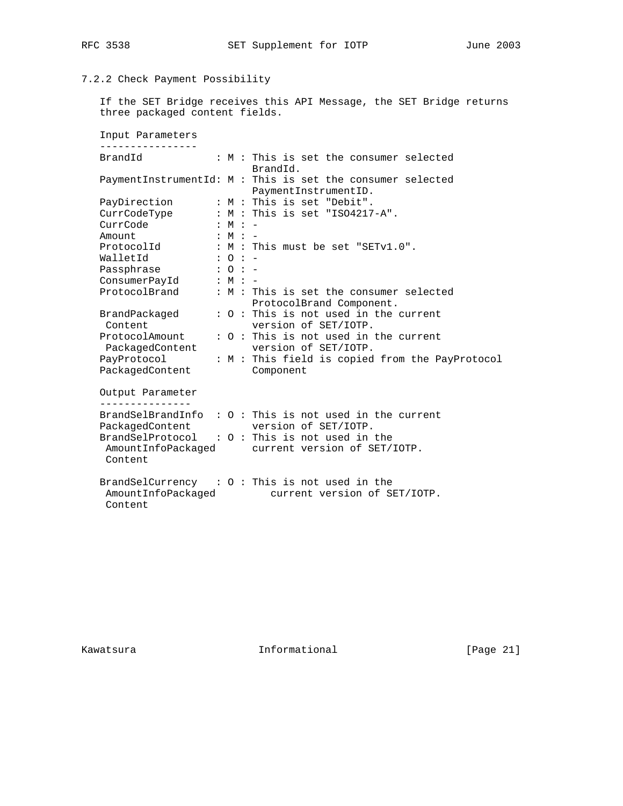# 7.2.2 Check Payment Possibility

 If the SET Bridge receives this API Message, the SET Bridge returns three packaged content fields.

 Input Parameters ---------------- BrandId : M : This is set the consumer selected BrandId. PaymentInstrumentId: M : This is set the consumer selected PaymentInstrumentID. PayDirection : M : This is set "Debit". CurrCodeType : M : This is set "ISO4217-A". CurrCode : M : - Amount : M : -ProtocolId : M : This must be set "SETv1.0". WalletId : O : - Passphrase : 0 : - ConsumerPayId : M : - ProtocolBrand : M : This is set the consumer selected ProtocolBrand Component. BrandPackaged : O : This is not used in the current Content version of SET/IOTP. ProtocolAmount : O : This is not used in the current PackagedContent version of SET/IOTP. PayProtocol : M : This field is copied from the PayProtocol PackagedContent Component Output Parameter --------------- BrandSelBrandInfo : O : This is not used in the current PackagedContent version of SET/IOTP. BrandSelProtocol : O : This is not used in the AmountInfoPackaged current version of SET/IOTP. Content BrandSelCurrency : O : This is not used in the AmountInfoPackaged current version of SET/IOTP. Content

Kawatsura **Informational** [Page 21]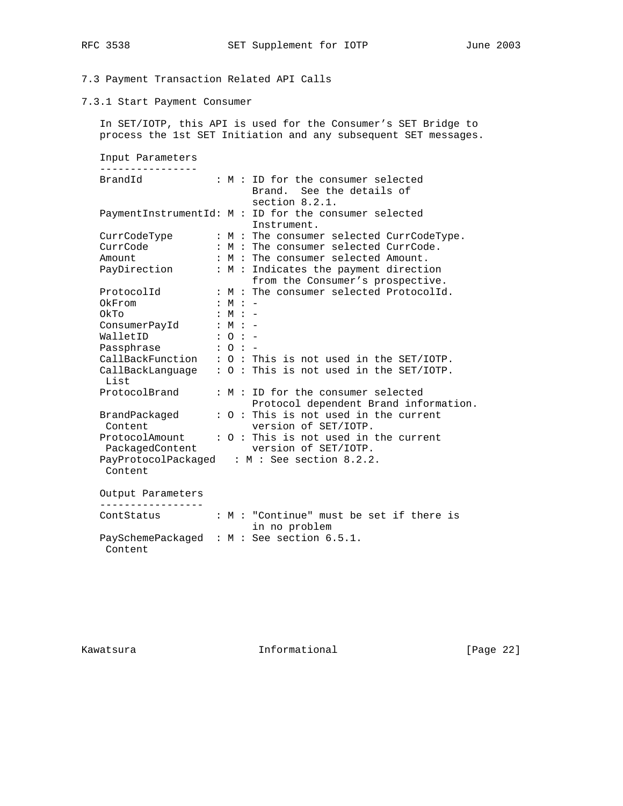7.3 Payment Transaction Related API Calls

7.3.1 Start Payment Consumer

 In SET/IOTP, this API is used for the Consumer's SET Bridge to process the 1st SET Initiation and any subsequent SET messages.

 Input Parameters ----------------<br>BrandId : M : ID for the consumer selected Brand. See the details of section 8.2.1. PaymentInstrumentId: M : ID for the consumer selected Instrument. CurrCodeType : M : The consumer selected CurrCodeType. CurrCode Type : M : The consumer selected CurrCode.<br>CurrCode : M : The consumer selected CurrCode.<br>A : The consumer selected Amount. : M : The consumer selected Amount. PayDirection : M : Indicates the payment direction from the Consumer's prospective. ProtocolId : M : The consumer selected ProtocolId. OkFrom : M : -OkTo : M : -ConsumerPayId : M : -<br>WelletIp : M : -WalletID : 0 : - Passphrase : O : - CallBackFunction : O : This is not used in the SET/IOTP. CallBackLanguage : O : This is not used in the SET/IOTP. List ProtocolBrand : M : ID for the consumer selected Protocol dependent Brand information. BrandPackaged : O : This is not used in the current Content version of SET/IOTP. ProtocolAmount : O : This is not used in the current PackagedContent version of SET/IOTP. PayProtocolPackaged : M : See section 8.2.2. Content Output Parameters ----------------- ContStatus : M : "Continue" must be set if there is in no problem PaySchemePackaged : M : See section 6.5.1. Content

Kawatsura Informational [Page 22]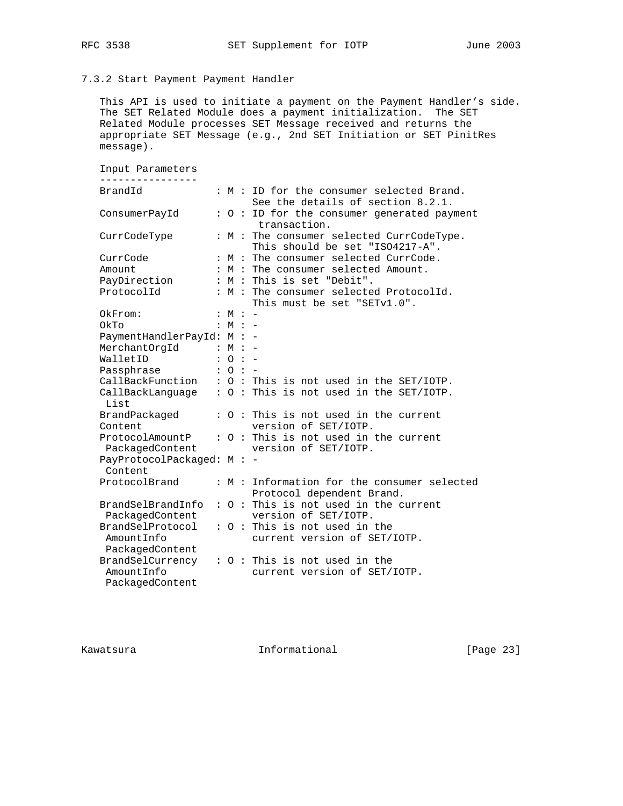#### 7.3.2 Start Payment Payment Handler

 This API is used to initiate a payment on the Payment Handler's side. The SET Related Module does a payment initialization. The SET Related Module processes SET Message received and returns the appropriate SET Message (e.g., 2nd SET Initiation or SET PinitRes

```
 message).
   Input Parameters
   ----------------
  BrandId : M : ID for the consumer selected Brand.
See the details of section 8.2.1.
 ConsumerPayId : O : ID for the consumer generated payment
 transaction.
 CurrCodeType : M : The consumer selected CurrCodeType.
  This should be set "ISO4217-A".<br>CurrCode : M : The consumer selected CurrCode.
  CurrCode : M : The consumer selected CurrCode.<br>Amount : M : The consumer selected Amount.
                  : M : The consumer selected Amount.
 PayDirection : M : This is set "Debit".
ProtocolId : M : The consumer selected ProtocolId.
                         This must be set "SETv1.0".
OkFrom: : M : -
OkTo : M : -
   PaymentHandlerPayId: M : -
  MerchantOrgId : M : -<br>WalletID : O : -
 WalletID : O : -
Passphrase : 0 : -
   CallBackFunction : O : This is not used in the SET/IOTP.
   CallBackLanguage : O : This is not used in the SET/IOTP.
    List
   BrandPackaged : O : This is not used in the current
Content version of SET/IOTP.
 ProtocolAmountP : O : This is not used in the current
 PackagedContent version of SET/IOTP.
   PayProtocolPackaged: M : -
    Content
   ProtocolBrand : M : Information for the consumer selected
                          Protocol dependent Brand.
   BrandSelBrandInfo : O : This is not used in the current
 PackagedContent version of SET/IOTP.
 BrandSelProtocol : O : This is not used in the
    AmountInfo current version of SET/IOTP.
```
 PackagedContent BrandSelCurrency : O : This is not used in the AmountInfo current version of SET/IOTP. PackagedContent

Kawatsura 10 1nformational 1999 [Page 23]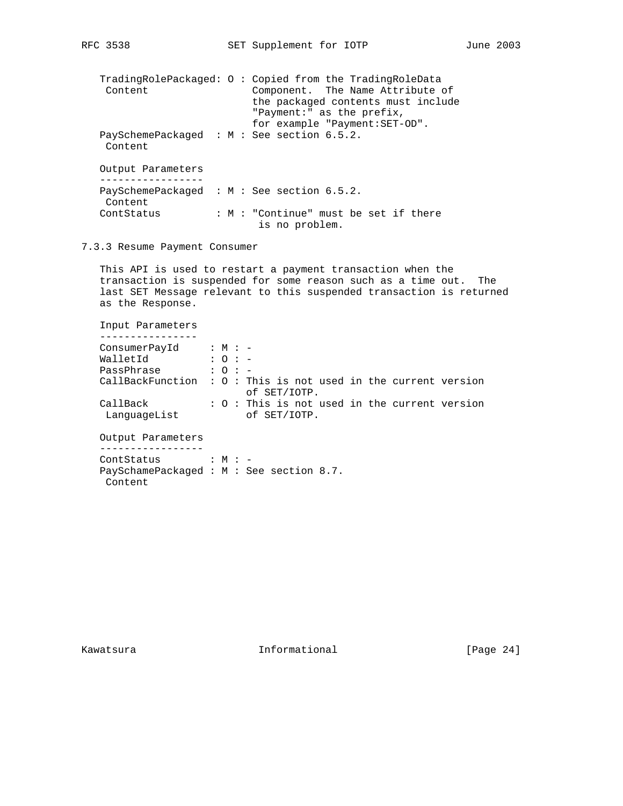```
 TradingRolePackaged: O : Copied from the TradingRoleData
 Content Component. The Name Attribute of
                         the packaged contents must include
                         "Payment:" as the prefix,
                         for example "Payment:SET-OD".
 PaySchemePackaged : M : See section 6.5.2.
 Content
 Output Parameters
 -----------------
```

```
 PaySchemePackaged : M : See section 6.5.2.
 Content
ContStatus : M : "Continue" must be set if there
                        is no problem.
```
## 7.3.3 Resume Payment Consumer

 This API is used to restart a payment transaction when the transaction is suspended for some reason such as a time out. The last SET Message relevant to this suspended transaction is returned as the Response.

| Input Parameters         |                |                                                                                 |
|--------------------------|----------------|---------------------------------------------------------------------------------|
|                          |                |                                                                                 |
| ConsumerPayId            | $:M: -$        |                                                                                 |
| WalletId                 | $: 0 : -$      |                                                                                 |
| PassPhrase               | $: \Omega : -$ |                                                                                 |
|                          |                | CallBackFunction : $0:$ This is not used in the current version<br>of SET/IOTP. |
| CallBack<br>LanguageList |                | : 0 : This is not used in the current version<br>of SET/IOTP.                   |
| Output Parameters        |                |                                                                                 |

```
ContStatus : M : -
 PaySchamePackaged : M : See section 8.7.
 Content
```
Kawatsura 10 Informational 111 [Page 24]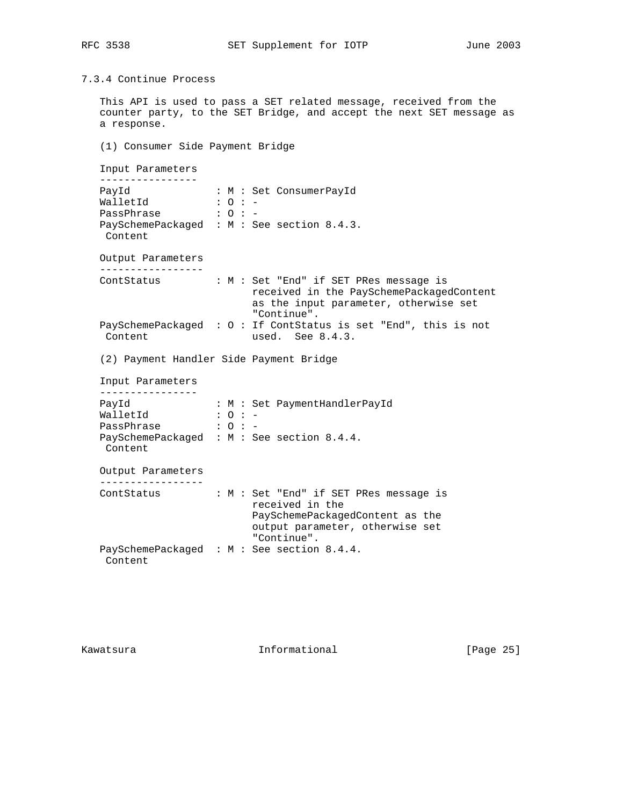7.3.4 Continue Process

 This API is used to pass a SET related message, received from the counter party, to the SET Bridge, and accept the next SET message as a response.

(1) Consumer Side Payment Bridge

 Input Parameters ---------------- PayId : M : Set ConsumerPayId WalletId : O : - PassPhrase : O : - PaySchemePackaged : M : See section 8.4.3. Content Output Parameters ----------------- ContStatus : M : Set "End" if SET PRes message is received in the PaySchemePackagedContent as the input parameter, otherwise set "Continue". PaySchemePackaged : O : If ContStatus is set "End", this is not Content used. See 8.4.3. (2) Payment Handler Side Payment Bridge Input Parameters ---------------<br>PayId : M : Set PaymentHandlerPayId WalletId : O : - PassPhrase : O : - PaySchemePackaged : M : See section 8.4.4. Content Output Parameters ----------------- ContStatus : M : Set "End" if SET PRes message is received in the PaySchemePackagedContent as the output parameter, otherwise set "Continue". PaySchemePackaged : M : See section 8.4.4. Content

Kawatsura 10 1nformational [Page 25]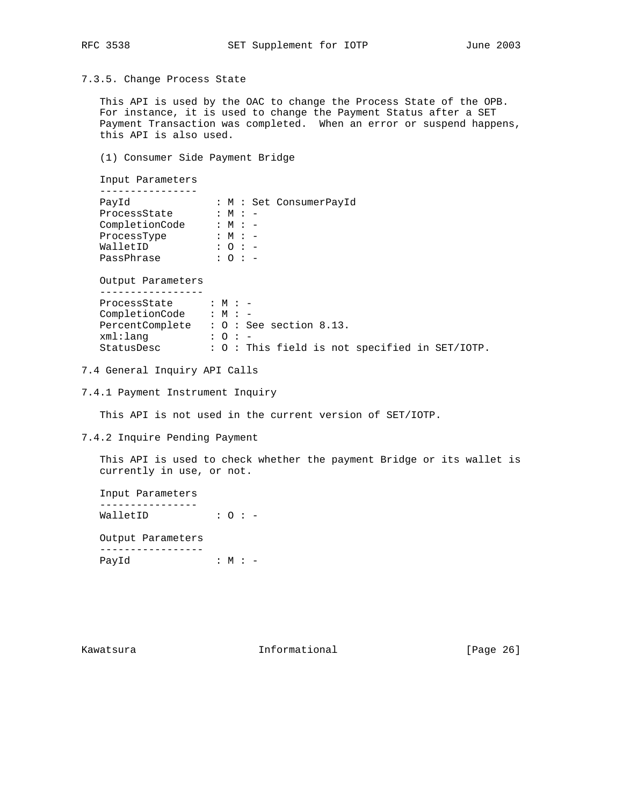7.3.5. Change Process State

 This API is used by the OAC to change the Process State of the OPB. For instance, it is used to change the Payment Status after a SET Payment Transaction was completed. When an error or suspend happens, this API is also used.

(1) Consumer Side Payment Bridge

```
 Input Parameters
   ----------------
 PayId : M : Set ConsumerPayId
ProcessState : M : -
 CompletionCode : M : -
ProcessType : M : -
 WalletID : O : -
 PassPhrase : O : -
   Output Parameters
   -----------------
ProcessState : M : -
 CompletionCode : M : -
   PercentComplete : O : See section 8.13.
 xml:lang : O : -
 StatusDesc : O : This field is not specified in SET/IOTP.
```
7.4 General Inquiry API Calls

7.4.1 Payment Instrument Inquiry

This API is not used in the current version of SET/IOTP.

7.4.2 Inquire Pending Payment

 This API is used to check whether the payment Bridge or its wallet is currently in use, or not.

```
 Input Parameters
 ----------------
WalletID : 0 : -
 Output Parameters
 -----------------
PayId : M : -
```
Kawatsura 10 1nformational [Page 26]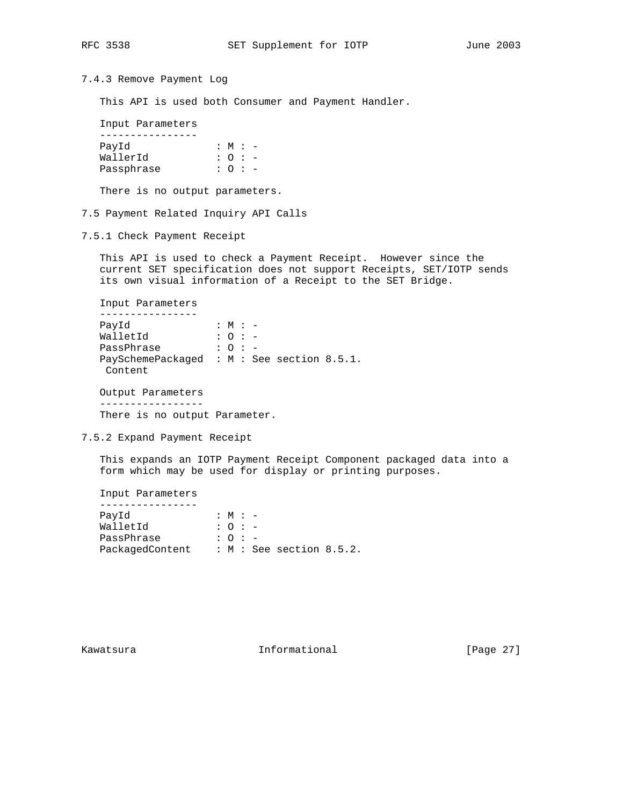7.4.3 Remove Payment Log

This API is used both Consumer and Payment Handler.

Input Parameters

| PayId      | $: M : -$      |  |
|------------|----------------|--|
| WallerId   | $: \Omega : -$ |  |
| Passphrase | $: \cap :$ $-$ |  |

There is no output parameters.

7.5 Payment Related Inquiry API Calls

7.5.1 Check Payment Receipt

 This API is used to check a Payment Receipt. However since the current SET specification does not support Receipts, SET/IOTP sends its own visual information of a Receipt to the SET Bridge.

 Input Parameters ---------------- PayId : M : - WalletId : O : - PassPhrase : O : - PaySchemePackaged : M : See section 8.5.1. Content Output Parameters -----------------

There is no output Parameter.

7.5.2 Expand Payment Receipt

 This expands an IOTP Payment Receipt Component packaged data into a form which may be used for display or printing purposes.

 Input Parameters ---------------- PayId : M : - WalletId : O : - PassPhrase : 0 : -PackagedContent : M : See section 8.5.2.

Kawatsura **Informational** Informational [Page 27]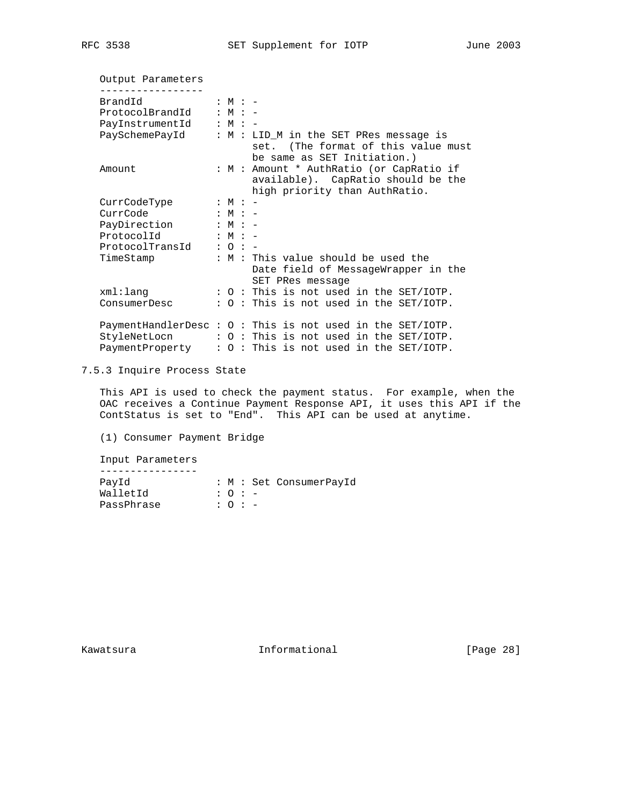| Output Parameters |           |                                                                                                                                                                                                |
|-------------------|-----------|------------------------------------------------------------------------------------------------------------------------------------------------------------------------------------------------|
| BrandId           | $:M: -$   |                                                                                                                                                                                                |
| ProtocolBrandId   | $:M: -$   |                                                                                                                                                                                                |
| PayInstrumentId   | $: M : -$ |                                                                                                                                                                                                |
| PaySchemePayId    |           | : M : LID M in the SET PRes message is<br>set. (The format of this value must<br>be same as SET Initiation.)                                                                                   |
| Amount            |           | : M : Amount * AuthRatio (or CapRatio if<br>available). CapRatio should be the<br>high priority than AuthRatio.                                                                                |
| CurrCodeType      | $:M: -$   |                                                                                                                                                                                                |
| CurrCode          | $:M: -$   |                                                                                                                                                                                                |
| PayDirection      | $:M: -$   |                                                                                                                                                                                                |
| ProtocolId        | $: M : -$ |                                                                                                                                                                                                |
| ProtocolTransId   | $: 0 : -$ |                                                                                                                                                                                                |
| TimeStamp         |           | : M : This value should be used the<br>Date field of MessageWrapper in the<br>SET PRes message                                                                                                 |
| xml:lang          |           | $: 0:$ This is not used in the SET/IOTP.                                                                                                                                                       |
| ConsumerDesc      |           | $: 0:$ This is not used in the SET/IOTP.                                                                                                                                                       |
|                   |           | PaymentHandlerDesc: 0: This is not used in the SET/IOTP.<br>StyleNetLocn $\cdot$ : 0 : This is not used in the SET/IOTP.<br>PaymentProperty $\therefore$ 0 : This is not used in the SET/IOTP. |

## 7.5.3 Inquire Process State

 This API is used to check the payment status. For example, when the OAC receives a Continue Payment Response API, it uses this API if the ContStatus is set to "End". This API can be used at anytime.

(1) Consumer Payment Bridge

Input Parameters

| PayId      |                                           |  | : M : Set ConsumerPayId |
|------------|-------------------------------------------|--|-------------------------|
| WalletId   | $\therefore$ $\cap$ $\therefore$ $\qquad$ |  |                         |
| PassPhrase | $\therefore$ $\cap$ $\therefore$ $\qquad$ |  |                         |

Kawatsura 10.1 Informational 111 [Page 28]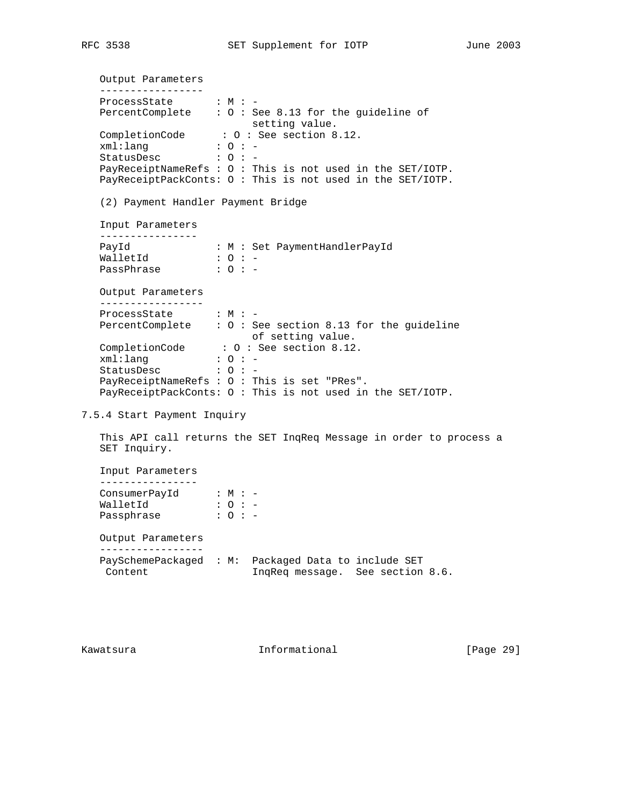Output Parameters ----------------- ProcessState : M : - PercentComplete : O : See 8.13 for the guideline of setting value. CompletionCode : O : See section 8.12. xml:lang : O : - StatusDesc : 0 : - PayReceiptNameRefs : O : This is not used in the SET/IOTP. PayReceiptPackConts: O : This is not used in the SET/IOTP. (2) Payment Handler Payment Bridge Input Parameters ---------------- PayId : M : Set PaymentHandlerPayId WalletId : O : - PassPhrase : 0 : - Output Parameters ----------------- ProcessState : M : - PercentComplete : O : See section 8.13 for the guideline of setting value. CompletionCode : 0 : See section 8.12. xml:lang : O : - StatusDesc : 0 : - PayReceiptNameRefs : O : This is set "PRes". PayReceiptPackConts: O : This is not used in the SET/IOTP. 7.5.4 Start Payment Inquiry This API call returns the SET InqReq Message in order to process a SET Inquiry.

 Input Parameters ---------------- ConsumerPayId : M : - WalletId : O : - Passphrase : O : - Output Parameters ----------------- PaySchemePackaged : M: Packaged Data to include SET Content InqReq message. See section 8.6.

Kawatsura **Informational** Informational [Page 29]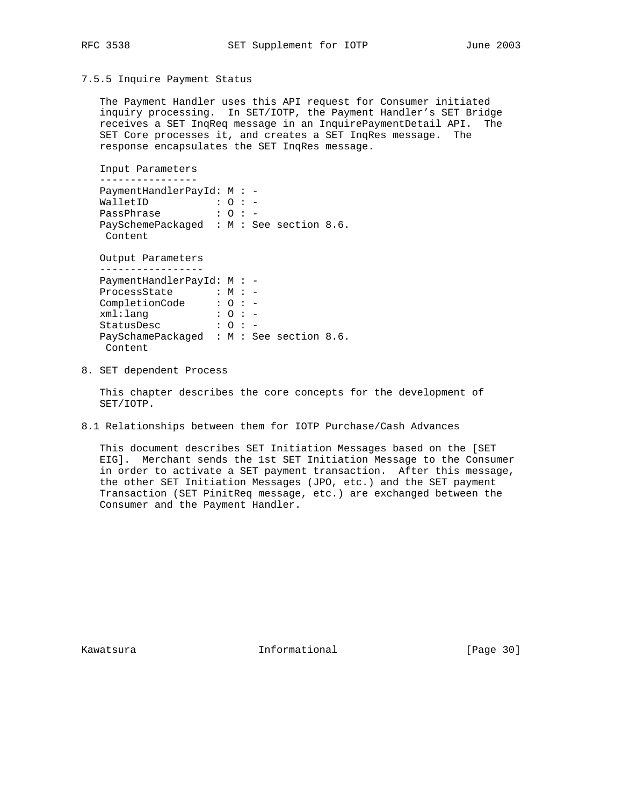### 7.5.5 Inquire Payment Status

 The Payment Handler uses this API request for Consumer initiated inquiry processing. In SET/IOTP, the Payment Handler's SET Bridge receives a SET InqReq message in an InquirePaymentDetail API. The SET Core processes it, and creates a SET InqRes message. The response encapsulates the SET InqRes message.

```
 Input Parameters
```
 ---------------- PaymentHandlerPayId: M : - WalletID : 0 : - PassPhrase : O : - PaySchemePackaged : M : See section 8.6. Content Output Parameters ----------------- PaymentHandlerPayId: M : - ProcessState : M : - CompletionCode : O : xml:lang : O : - StatusDesc : 0 : - PaySchamePackaged : M : See section 8.6. Content

8. SET dependent Process

 This chapter describes the core concepts for the development of SET/IOTP.

8.1 Relationships between them for IOTP Purchase/Cash Advances

 This document describes SET Initiation Messages based on the [SET EIG]. Merchant sends the 1st SET Initiation Message to the Consumer in order to activate a SET payment transaction. After this message, the other SET Initiation Messages (JPO, etc.) and the SET payment Transaction (SET PinitReq message, etc.) are exchanged between the Consumer and the Payment Handler.

Kawatsura 10 1nformational [Page 30]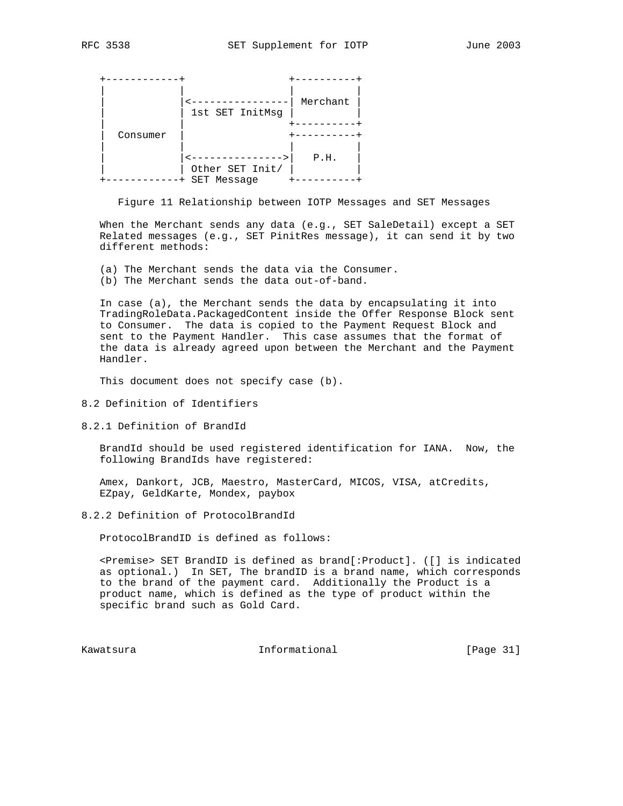|          | 1st SET InitMsg | Merchant |
|----------|-----------------|----------|
|          |                 |          |
| Consumer |                 |          |
|          | Other SET Init/ | P.H.     |
|          | SET Message     |          |

Figure 11 Relationship between IOTP Messages and SET Messages

 When the Merchant sends any data (e.g., SET SaleDetail) except a SET Related messages (e.g., SET PinitRes message), it can send it by two different methods:

 (a) The Merchant sends the data via the Consumer. (b) The Merchant sends the data out-of-band.

 In case (a), the Merchant sends the data by encapsulating it into TradingRoleData.PackagedContent inside the Offer Response Block sent to Consumer. The data is copied to the Payment Request Block and sent to the Payment Handler. This case assumes that the format of the data is already agreed upon between the Merchant and the Payment Handler.

This document does not specify case (b).

- 8.2 Definition of Identifiers
- 8.2.1 Definition of BrandId

 BrandId should be used registered identification for IANA. Now, the following BrandIds have registered:

 Amex, Dankort, JCB, Maestro, MasterCard, MICOS, VISA, atCredits, EZpay, GeldKarte, Mondex, paybox

8.2.2 Definition of ProtocolBrandId

ProtocolBrandID is defined as follows:

 <Premise> SET BrandID is defined as brand[:Product]. ([] is indicated as optional.) In SET, The brandID is a brand name, which corresponds to the brand of the payment card. Additionally the Product is a product name, which is defined as the type of product within the specific brand such as Gold Card.

Kawatsura 10 Informational 11 [Page 31]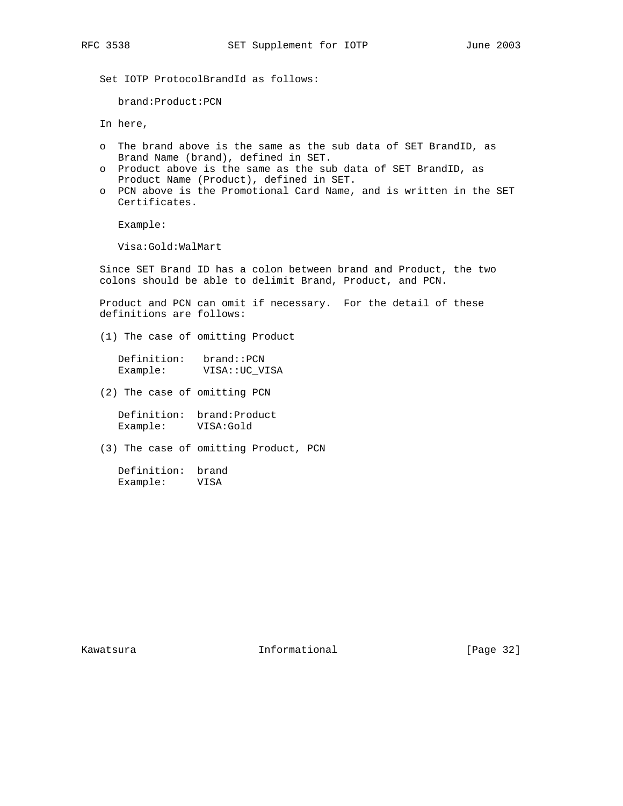Set IOTP ProtocolBrandId as follows:

brand:Product:PCN

In here,

- o The brand above is the same as the sub data of SET BrandID, as Brand Name (brand), defined in SET.
- o Product above is the same as the sub data of SET BrandID, as Product Name (Product), defined in SET.
- o PCN above is the Promotional Card Name, and is written in the SET Certificates.

Example:

Visa:Gold:WalMart

 Since SET Brand ID has a colon between brand and Product, the two colons should be able to delimit Brand, Product, and PCN.

 Product and PCN can omit if necessary. For the detail of these definitions are follows:

(1) The case of omitting Product

 Definition: brand::PCN Example: VISA::UC\_VISA

(2) The case of omitting PCN

 Definition: brand:Product Example: VISA:Gold

(3) The case of omitting Product, PCN

 Definition: brand Example: VISA

Kawatsura Informational [Page 32]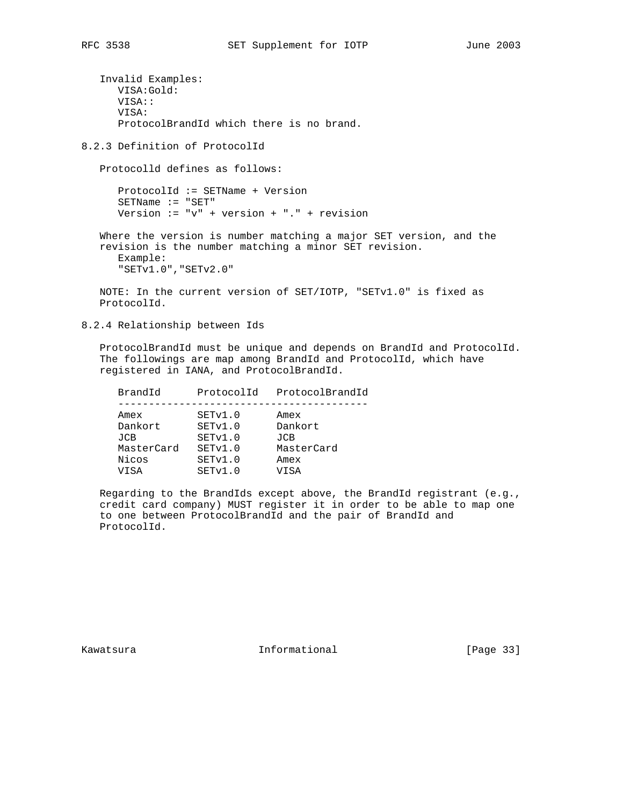```
 Invalid Examples:
      VISA:Gold:
       VISA::
       VISA:
       ProtocolBrandId which there is no brand.
8.2.3 Definition of ProtocolId
    Protocolld defines as follows:
       ProtocolId := SETName + Version
      SETName := "SET"
       Version := "v" + version + "." + revision
    Where the version is number matching a major SET version, and the
    revision is the number matching a minor SET revision.
      Example:
       "SETv1.0","SETv2.0"
   NOTE: In the current version of SET/IOTP, "SETv1.0" is fixed as
```
8.2.4 Relationship between Ids

ProtocolId.

 ProtocolBrandId must be unique and depends on BrandId and ProtocolId. The followings are map among BrandId and ProtocolId, which have registered in IANA, and ProtocolBrandId.

| BrandId    | ProtocolId | ProtocolBrandId |
|------------|------------|-----------------|
|            |            |                 |
| Amex       | SETv1.0    | Amex            |
| Dankort    | SETv1.0    | Dankort         |
| <b>JCB</b> | SETv1.0    | <b>JCB</b>      |
| MasterCard | SETv1.0    | MasterCard      |
| Nicos      | SETv1.0    | Amex            |
| VTSA       | SETv1.0    | VTSA            |

 Regarding to the BrandIds except above, the BrandId registrant (e.g., credit card company) MUST register it in order to be able to map one to one between ProtocolBrandId and the pair of BrandId and ProtocolId.

Kawatsura 10 1nformational 1999 [Page 33]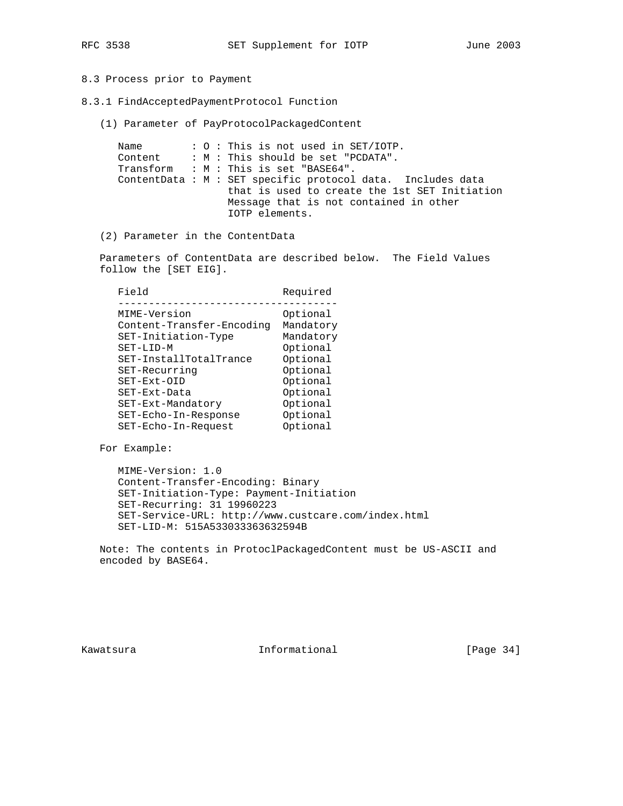# 8.3 Process prior to Payment

- 8.3.1 FindAcceptedPaymentProtocol Function
	- (1) Parameter of PayProtocolPackagedContent

```
Name : O : This is not used in SET/IOTP.
Content : M : This should be set "PCDATA".
Transform : M : This is set "BASE64".
 ContentData : M : SET specific protocol data. Includes data
                  that is used to create the 1st SET Initiation
                  Message that is not contained in other
                  IOTP elements.
```
(2) Parameter in the ContentData

 Parameters of ContentData are described below. The Field Values follow the [SET EIG].

| Field                     | Required  |
|---------------------------|-----------|
|                           |           |
| MIME-Version              | Optional  |
| Content-Transfer-Encoding | Mandatory |
| SET-Initiation-Type       | Mandatory |
| SET-LID-M                 | Optional  |
| SET-InstallTotalTrance    | Optional  |
| SET-Recurring             | Optional  |
| SET-Ext-OID               | Optional  |
| SET-Ext-Data              | Optional  |
| SET-Ext-Mandatory         | Optional  |
| SET-Echo-In-Response      | Optional  |
| SET-Echo-In-Request       | Optional  |
|                           |           |

For Example:

 MIME-Version: 1.0 Content-Transfer-Encoding: Binary SET-Initiation-Type: Payment-Initiation SET-Recurring: 31 19960223 SET-Service-URL: http://www.custcare.com/index.html SET-LID-M: 515A533033363632594B

 Note: The contents in ProtoclPackagedContent must be US-ASCII and encoded by BASE64.

Kawatsura 10 1nformational [Page 34]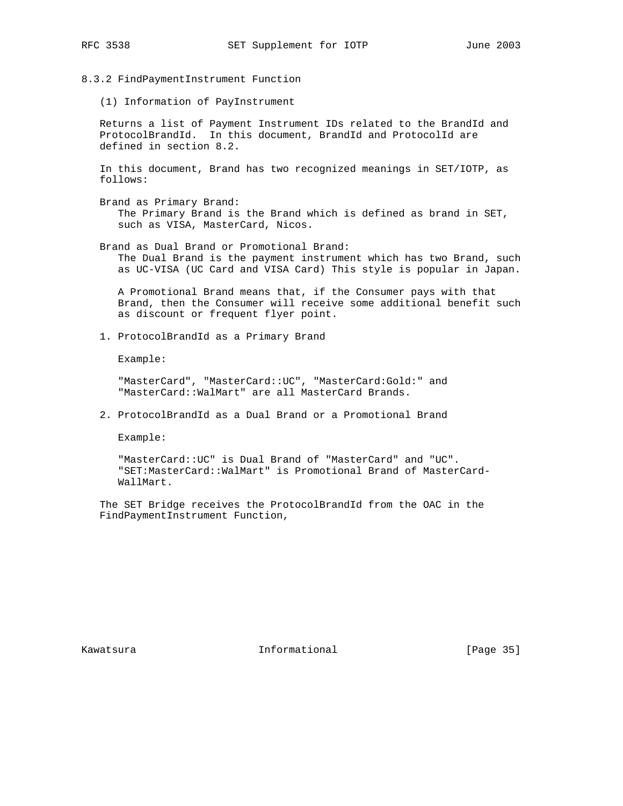#### 8.3.2 FindPaymentInstrument Function

(1) Information of PayInstrument

 Returns a list of Payment Instrument IDs related to the BrandId and ProtocolBrandId. In this document, BrandId and ProtocolId are defined in section 8.2.

 In this document, Brand has two recognized meanings in SET/IOTP, as follows:

 Brand as Primary Brand: The Primary Brand is the Brand which is defined as brand in SET, such as VISA, MasterCard, Nicos.

 Brand as Dual Brand or Promotional Brand: The Dual Brand is the payment instrument which has two Brand, such as UC-VISA (UC Card and VISA Card) This style is popular in Japan.

 A Promotional Brand means that, if the Consumer pays with that Brand, then the Consumer will receive some additional benefit such as discount or frequent flyer point.

1. ProtocolBrandId as a Primary Brand

Example:

 "MasterCard", "MasterCard::UC", "MasterCard:Gold:" and "MasterCard::WalMart" are all MasterCard Brands.

2. ProtocolBrandId as a Dual Brand or a Promotional Brand

Example:

 "MasterCard::UC" is Dual Brand of "MasterCard" and "UC". "SET:MasterCard::WalMart" is Promotional Brand of MasterCard- WallMart.

 The SET Bridge receives the ProtocolBrandId from the OAC in the FindPaymentInstrument Function,

Kawatsura 10 1nformational [Page 35]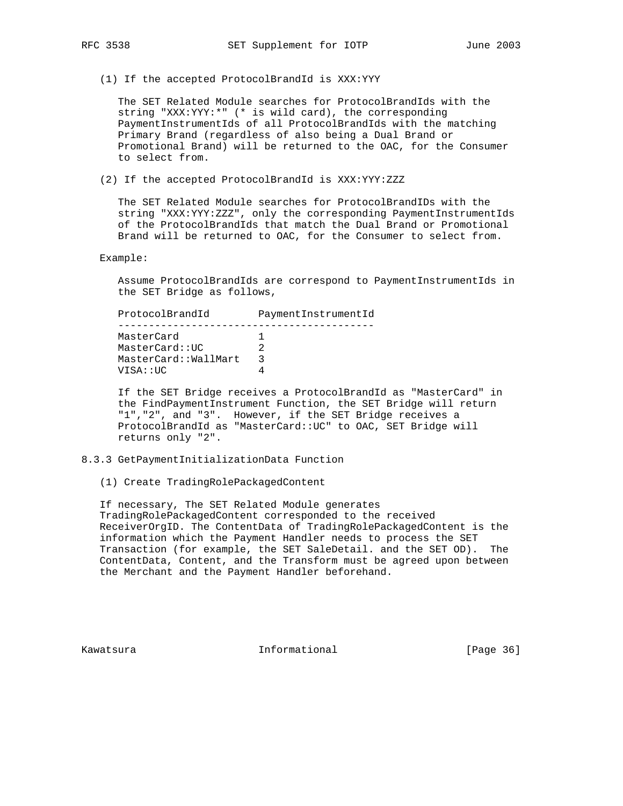(1) If the accepted ProtocolBrandId is XXX:YYY

 The SET Related Module searches for ProtocolBrandIds with the string "XXX:YYY:\*" (\* is wild card), the corresponding PaymentInstrumentIds of all ProtocolBrandIds with the matching Primary Brand (regardless of also being a Dual Brand or Promotional Brand) will be returned to the OAC, for the Consumer to select from.

(2) If the accepted ProtocolBrandId is XXX:YYY:ZZZ

 The SET Related Module searches for ProtocolBrandIDs with the string "XXX:YYY:ZZZ", only the corresponding PaymentInstrumentIds of the ProtocolBrandIds that match the Dual Brand or Promotional Brand will be returned to OAC, for the Consumer to select from.

Example:

 Assume ProtocolBrandIds are correspond to PaymentInstrumentIds in the SET Bridge as follows,

ProtocolBrandId PaymentInstrumentId ------------------------------------------ MasterCard 1 MasterCard::UC 2 MasterCard::WallMart 3 VISA::UC 4

 If the SET Bridge receives a ProtocolBrandId as "MasterCard" in the FindPaymentInstrument Function, the SET Bridge will return "1","2", and "3". However, if the SET Bridge receives a ProtocolBrandId as "MasterCard::UC" to OAC, SET Bridge will returns only "2".

#### 8.3.3 GetPaymentInitializationData Function

(1) Create TradingRolePackagedContent

 If necessary, The SET Related Module generates TradingRolePackagedContent corresponded to the received ReceiverOrgID. The ContentData of TradingRolePackagedContent is the information which the Payment Handler needs to process the SET Transaction (for example, the SET SaleDetail. and the SET OD). The ContentData, Content, and the Transform must be agreed upon between the Merchant and the Payment Handler beforehand.

Kawatsura 10 1nformational [Page 36]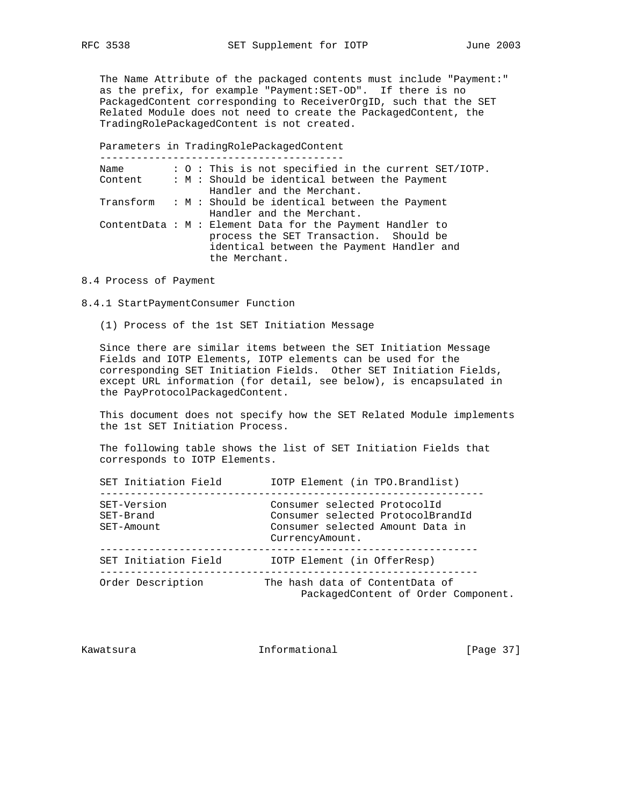The Name Attribute of the packaged contents must include "Payment:" as the prefix, for example "Payment:SET-OD". If there is no PackagedContent corresponding to ReceiverOrgID, such that the SET Related Module does not need to create the PackagedContent, the TradingRolePackagedContent is not created.

Parameters in TradingRolePackagedContent

| Name    |  | $: 0:$ This is not specified in the current SET/IOTP.                                                                                                               |
|---------|--|---------------------------------------------------------------------------------------------------------------------------------------------------------------------|
| Content |  | : M : Should be identical between the Payment<br>Handler and the Merchant.                                                                                          |
|         |  | Transform : M : Should be identical between the Payment<br>Handler and the Merchant.                                                                                |
|         |  | ContentData : $M$ : Element Data for the Payment Handler to<br>process the SET Transaction. Should be<br>identical between the Payment Handler and<br>the Merchant. |

8.4 Process of Payment

8.4.1 StartPaymentConsumer Function

(1) Process of the 1st SET Initiation Message

 Since there are similar items between the SET Initiation Message Fields and IOTP Elements, IOTP elements can be used for the corresponding SET Initiation Fields. Other SET Initiation Fields, except URL information (for detail, see below), is encapsulated in the PayProtocolPackagedContent.

 This document does not specify how the SET Related Module implements the 1st SET Initiation Process.

 The following table shows the list of SET Initiation Fields that corresponds to IOTP Elements.

| SET Initiation Field                   | IOTP Element (in TPO.Brandlist)                                                                                          |
|----------------------------------------|--------------------------------------------------------------------------------------------------------------------------|
| SET-Version<br>SET-Brand<br>SET-Amount | Consumer selected ProtocolId<br>Consumer selected ProtocolBrandId<br>Consumer selected Amount Data in<br>CurrencyAmount. |
| SET Initiation Field                   | IOTP Element (in OfferResp)                                                                                              |
| Order Description                      | The hash data of ContentData of<br>PackagedContent of Order Component.                                                   |

Kawatsura 10 1nformational [Page 37]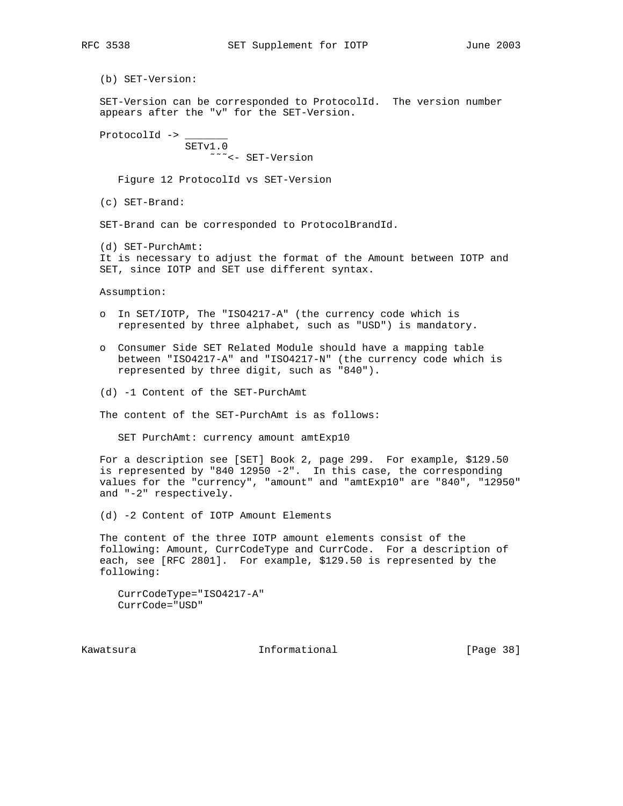(b) SET-Version:

 SET-Version can be corresponded to ProtocolId. The version number appears after the "v" for the SET-Version.

ProtocolId -> \_ SETv1.0 ˜˜˜<- SET-Version

Figure 12 ProtocolId vs SET-Version

(c) SET-Brand:

SET-Brand can be corresponded to ProtocolBrandId.

 (d) SET-PurchAmt: It is necessary to adjust the format of the Amount between IOTP and SET, since IOTP and SET use different syntax.

Assumption:

- o In SET/IOTP, The "ISO4217-A" (the currency code which is represented by three alphabet, such as "USD") is mandatory.
- o Consumer Side SET Related Module should have a mapping table between "ISO4217-A" and "ISO4217-N" (the currency code which is represented by three digit, such as "840").
- (d) -1 Content of the SET-PurchAmt

The content of the SET-PurchAmt is as follows:

SET PurchAmt: currency amount amtExp10

 For a description see [SET] Book 2, page 299. For example, \$129.50 is represented by "840 12950 -2". In this case, the corresponding values for the "currency", "amount" and "amtExp10" are "840", "12950" and "-2" respectively.

(d) -2 Content of IOTP Amount Elements

 The content of the three IOTP amount elements consist of the following: Amount, CurrCodeType and CurrCode. For a description of each, see [RFC 2801]. For example, \$129.50 is represented by the following:

 CurrCodeType="ISO4217-A" CurrCode="USD"

Kawatsura 10 1nformational [Page 38]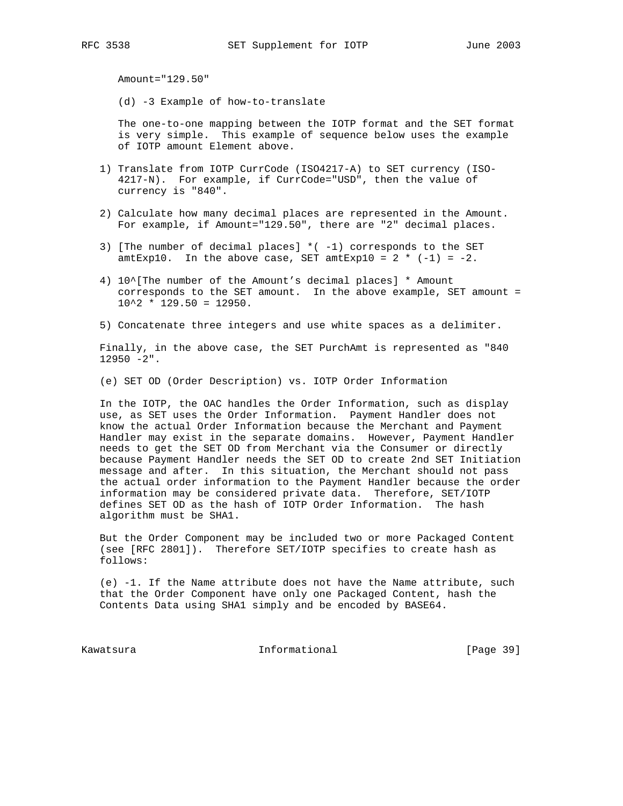Amount="129.50"

(d) -3 Example of how-to-translate

 The one-to-one mapping between the IOTP format and the SET format is very simple. This example of sequence below uses the example of IOTP amount Element above.

- 1) Translate from IOTP CurrCode (ISO4217-A) to SET currency (ISO- 4217-N). For example, if CurrCode="USD", then the value of currency is "840".
- 2) Calculate how many decimal places are represented in the Amount. For example, if Amount="129.50", there are "2" decimal places.
- 3) [The number of decimal places] \*( -1) corresponds to the SET amtExp10. In the above case, SET amtExp10 =  $2 * (-1) = -2$ .
- 4) 10^[The number of the Amount's decimal places] \* Amount corresponds to the SET amount. In the above example, SET amount =  $10^2$  \* 129.50 = 12950.
- 5) Concatenate three integers and use white spaces as a delimiter.

 Finally, in the above case, the SET PurchAmt is represented as "840  $12950 - 2$ ".

(e) SET OD (Order Description) vs. IOTP Order Information

 In the IOTP, the OAC handles the Order Information, such as display use, as SET uses the Order Information. Payment Handler does not know the actual Order Information because the Merchant and Payment Handler may exist in the separate domains. However, Payment Handler needs to get the SET OD from Merchant via the Consumer or directly because Payment Handler needs the SET OD to create 2nd SET Initiation message and after. In this situation, the Merchant should not pass the actual order information to the Payment Handler because the order information may be considered private data. Therefore, SET/IOTP defines SET OD as the hash of IOTP Order Information. The hash algorithm must be SHA1.

 But the Order Component may be included two or more Packaged Content (see [RFC 2801]). Therefore SET/IOTP specifies to create hash as follows:

 (e) -1. If the Name attribute does not have the Name attribute, such that the Order Component have only one Packaged Content, hash the Contents Data using SHA1 simply and be encoded by BASE64.

Kawatsura 10 Informational [Page 39]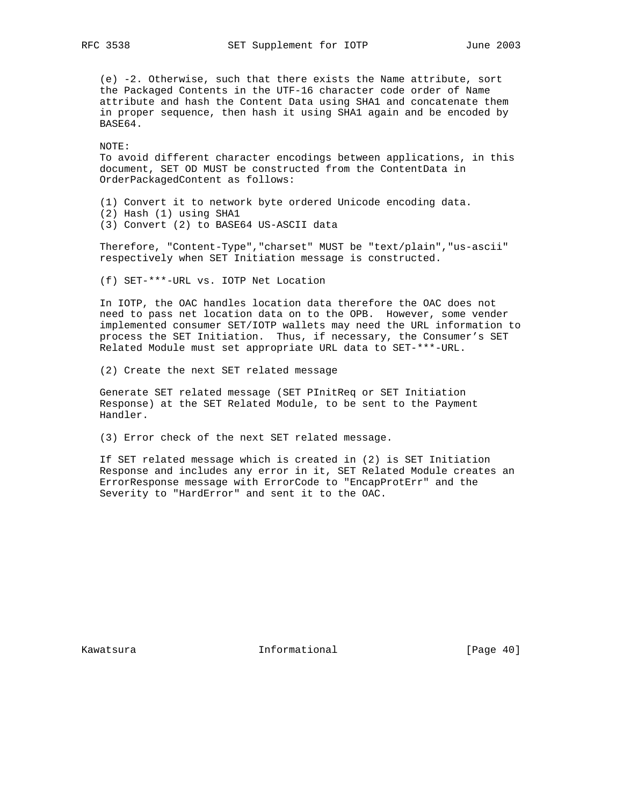(e) -2. Otherwise, such that there exists the Name attribute, sort the Packaged Contents in the UTF-16 character code order of Name attribute and hash the Content Data using SHA1 and concatenate them in proper sequence, then hash it using SHA1 again and be encoded by BASE64.

 NOTE: To avoid different character encodings between applications, in this document, SET OD MUST be constructed from the ContentData in OrderPackagedContent as follows:

 (1) Convert it to network byte ordered Unicode encoding data. (2) Hash (1) using SHA1

(3) Convert (2) to BASE64 US-ASCII data

 Therefore, "Content-Type","charset" MUST be "text/plain","us-ascii" respectively when SET Initiation message is constructed.

(f) SET-\*\*\*-URL vs. IOTP Net Location

 In IOTP, the OAC handles location data therefore the OAC does not need to pass net location data on to the OPB. However, some vender implemented consumer SET/IOTP wallets may need the URL information to process the SET Initiation. Thus, if necessary, the Consumer's SET Related Module must set appropriate URL data to SET-\*\*\*-URL.

(2) Create the next SET related message

 Generate SET related message (SET PInitReq or SET Initiation Response) at the SET Related Module, to be sent to the Payment Handler.

(3) Error check of the next SET related message.

 If SET related message which is created in (2) is SET Initiation Response and includes any error in it, SET Related Module creates an ErrorResponse message with ErrorCode to "EncapProtErr" and the Severity to "HardError" and sent it to the OAC.

Kawatsura 10 1nformational [Page 40]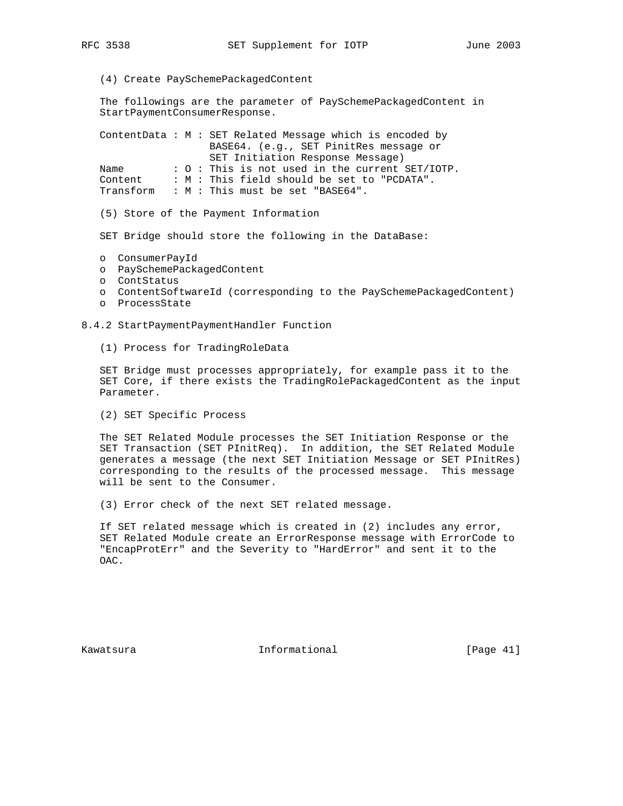(4) Create PaySchemePackagedContent

 The followings are the parameter of PaySchemePackagedContent in StartPaymentConsumerResponse.

 ContentData : M : SET Related Message which is encoded by BASE64. (e.g., SET PinitRes message or SET Initiation Response Message) Name : O : This is not used in the current SET/IOTP. Content : M : This field should be set to "PCDATA". Transform : M : This must be set "BASE64".

(5) Store of the Payment Information

SET Bridge should store the following in the DataBase:

- o ConsumerPayId
- o PaySchemePackagedContent
- o ContStatus
- o ContentSoftwareId (corresponding to the PaySchemePackagedContent)
- o ProcessState

8.4.2 StartPaymentPaymentHandler Function

(1) Process for TradingRoleData

 SET Bridge must processes appropriately, for example pass it to the SET Core, if there exists the TradingRolePackagedContent as the input Parameter.

(2) SET Specific Process

 The SET Related Module processes the SET Initiation Response or the SET Transaction (SET PInitReq). In addition, the SET Related Module generates a message (the next SET Initiation Message or SET PInitRes) corresponding to the results of the processed message. This message will be sent to the Consumer.

(3) Error check of the next SET related message.

 If SET related message which is created in (2) includes any error, SET Related Module create an ErrorResponse message with ErrorCode to "EncapProtErr" and the Severity to "HardError" and sent it to the OAC.

Kawatsura **Informational** [Page 41]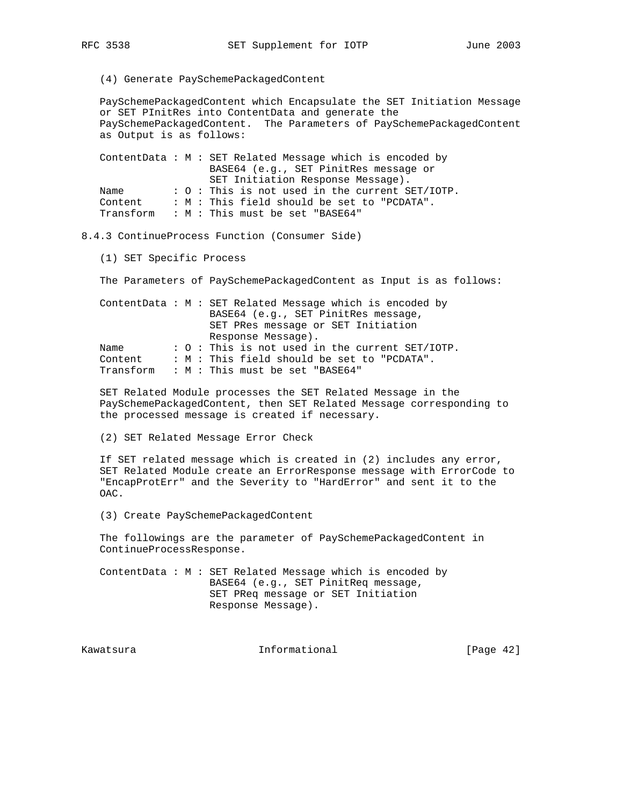(4) Generate PaySchemePackagedContent

 PaySchemePackagedContent which Encapsulate the SET Initiation Message or SET PInitRes into ContentData and generate the PaySchemePackagedContent. The Parameters of PaySchemePackagedContent as Output is as follows:

 ContentData : M : SET Related Message which is encoded by BASE64 (e.g., SET PinitRes message or SET Initiation Response Message). Name : O : This is not used in the current SET/IOTP. Content : M : This field should be set to "PCDATA". Transform : M : This must be set "BASE64"

8.4.3 ContinueProcess Function (Consumer Side)

(1) SET Specific Process

The Parameters of PaySchemePackagedContent as Input is as follows:

 ContentData : M : SET Related Message which is encoded by BASE64 (e.g., SET PinitRes message, SET PRes message or SET Initiation Response Message). Name : O : This is not used in the current SET/IOTP. Content : M : This field should be set to "PCDATA". Transform : M : This must be set "BASE64"

 SET Related Module processes the SET Related Message in the PaySchemePackagedContent, then SET Related Message corresponding to the processed message is created if necessary.

(2) SET Related Message Error Check

 If SET related message which is created in (2) includes any error, SET Related Module create an ErrorResponse message with ErrorCode to "EncapProtErr" and the Severity to "HardError" and sent it to the OAC.

(3) Create PaySchemePackagedContent

 The followings are the parameter of PaySchemePackagedContent in ContinueProcessResponse.

 ContentData : M : SET Related Message which is encoded by BASE64 (e.g., SET PinitReq message, SET PReq message or SET Initiation Response Message).

Kawatsura Informational [Page 42]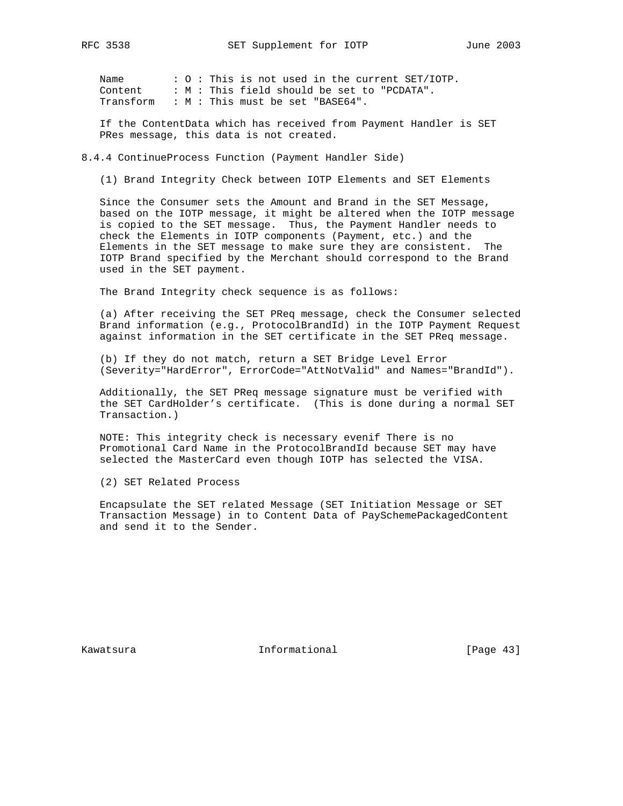Name : O : This is not used in the current SET/IOTP. Content : M : This field should be set to "PCDATA". Transform : M : This must be set "BASE64".

 If the ContentData which has received from Payment Handler is SET PRes message, this data is not created.

8.4.4 ContinueProcess Function (Payment Handler Side)

(1) Brand Integrity Check between IOTP Elements and SET Elements

 Since the Consumer sets the Amount and Brand in the SET Message, based on the IOTP message, it might be altered when the IOTP message is copied to the SET message. Thus, the Payment Handler needs to check the Elements in IOTP components (Payment, etc.) and the Elements in the SET message to make sure they are consistent. The IOTP Brand specified by the Merchant should correspond to the Brand used in the SET payment.

The Brand Integrity check sequence is as follows:

 (a) After receiving the SET PReq message, check the Consumer selected Brand information (e.g., ProtocolBrandId) in the IOTP Payment Request against information in the SET certificate in the SET PReq message.

 (b) If they do not match, return a SET Bridge Level Error (Severity="HardError", ErrorCode="AttNotValid" and Names="BrandId").

 Additionally, the SET PReq message signature must be verified with the SET CardHolder's certificate. (This is done during a normal SET Transaction.)

 NOTE: This integrity check is necessary evenif There is no Promotional Card Name in the ProtocolBrandId because SET may have selected the MasterCard even though IOTP has selected the VISA.

(2) SET Related Process

 Encapsulate the SET related Message (SET Initiation Message or SET Transaction Message) in to Content Data of PaySchemePackagedContent and send it to the Sender.

Kawatsura **Informational** [Page 43]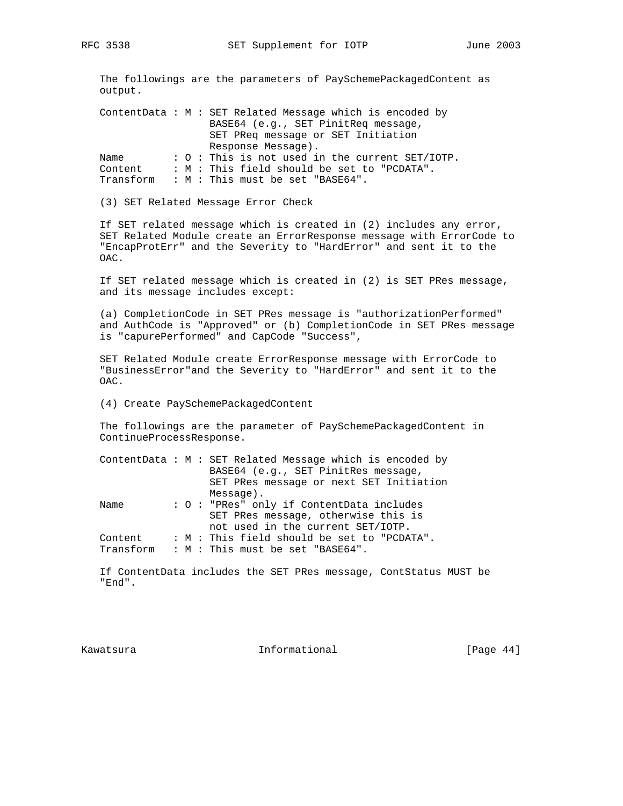The followings are the parameters of PaySchemePackagedContent as output.

 ContentData : M : SET Related Message which is encoded by BASE64 (e.g., SET PinitReq message, SET PReq message or SET Initiation Response Message).<br>Name : 0 : This is not used i Name :  $0$  : This is not used in the current SET/IOTP.<br>Content :  $M$  : This field should be set to "PCDATA".<br>Transform :  $M = N$ : M : This field should be set to "PCDATA". Transform : M : This must be set "BASE64".

(3) SET Related Message Error Check

 If SET related message which is created in (2) includes any error, SET Related Module create an ErrorResponse message with ErrorCode to "EncapProtErr" and the Severity to "HardError" and sent it to the OAC.

 If SET related message which is created in (2) is SET PRes message, and its message includes except:

 (a) CompletionCode in SET PRes message is "authorizationPerformed" and AuthCode is "Approved" or (b) CompletionCode in SET PRes message is "capurePerformed" and CapCode "Success",

 SET Related Module create ErrorResponse message with ErrorCode to "BusinessError"and the Severity to "HardError" and sent it to the OAC.

(4) Create PaySchemePackagedContent

 The followings are the parameter of PaySchemePackagedContent in ContinueProcessResponse.

|      |           |  | ContentData : M : SET Related Message which is encoded by |
|------|-----------|--|-----------------------------------------------------------|
|      |           |  | BASE64 (e.g., SET PinitRes message,                       |
|      |           |  | SET PRes message or next SET Initiation                   |
|      |           |  | Message).                                                 |
| Name |           |  | : 0 : "PRes" only if ContentData includes                 |
|      |           |  | SET PRes message, otherwise this is                       |
|      |           |  | not used in the current SET/IOTP.                         |
|      | Content   |  | : M : This field should be set to "PCDATA".               |
|      | Transform |  | : $M$ : This must be set "BASE64".                        |

 If ContentData includes the SET PRes message, ContStatus MUST be "End".

Kawatsura Informational [Page 44]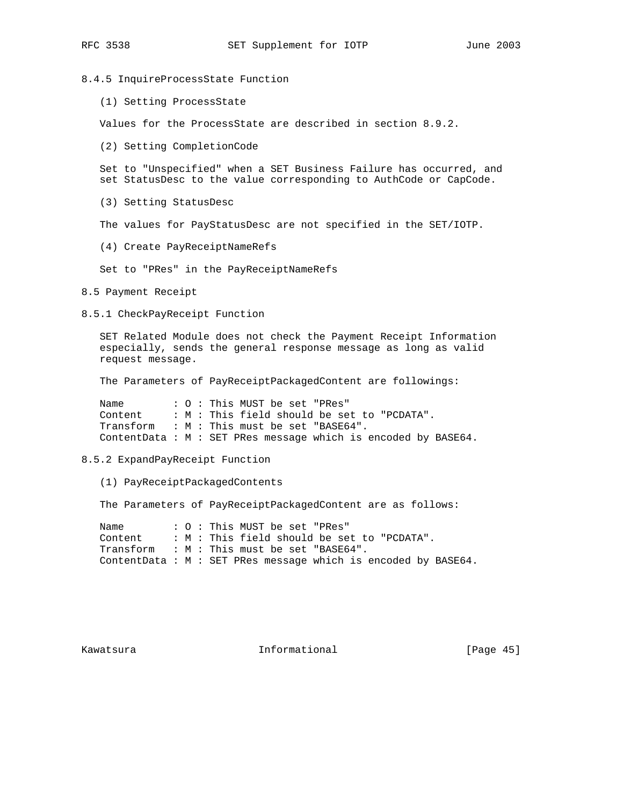8.4.5 InquireProcessState Function

(1) Setting ProcessState

Values for the ProcessState are described in section 8.9.2.

(2) Setting CompletionCode

 Set to "Unspecified" when a SET Business Failure has occurred, and set StatusDesc to the value corresponding to AuthCode or CapCode.

(3) Setting StatusDesc

The values for PayStatusDesc are not specified in the SET/IOTP.

(4) Create PayReceiptNameRefs

Set to "PRes" in the PayReceiptNameRefs

8.5 Payment Receipt

8.5.1 CheckPayReceipt Function

 SET Related Module does not check the Payment Receipt Information especially, sends the general response message as long as valid request message.

The Parameters of PayReceiptPackagedContent are followings:

| Name    |  | $: 0:$ This MUST be set "PRes"                                  |
|---------|--|-----------------------------------------------------------------|
| Content |  | : M : This field should be set to "PCDATA".                     |
|         |  | Transform : M : This must be set "BASE64".                      |
|         |  | ContentData: $M : SET$ PRes message which is encoded by BASE64. |

#### 8.5.2 ExpandPayReceipt Function

(1) PayReceiptPackagedContents

The Parameters of PayReceiptPackagedContent are as follows:

Name : O : This MUST be set "PRes" Content : M : This field should be set to "PCDATA". Transform : M : This must be set "BASE64". ContentData : M : SET PRes message which is encoded by BASE64.

Kawatsura 10 1nformational [Page 45]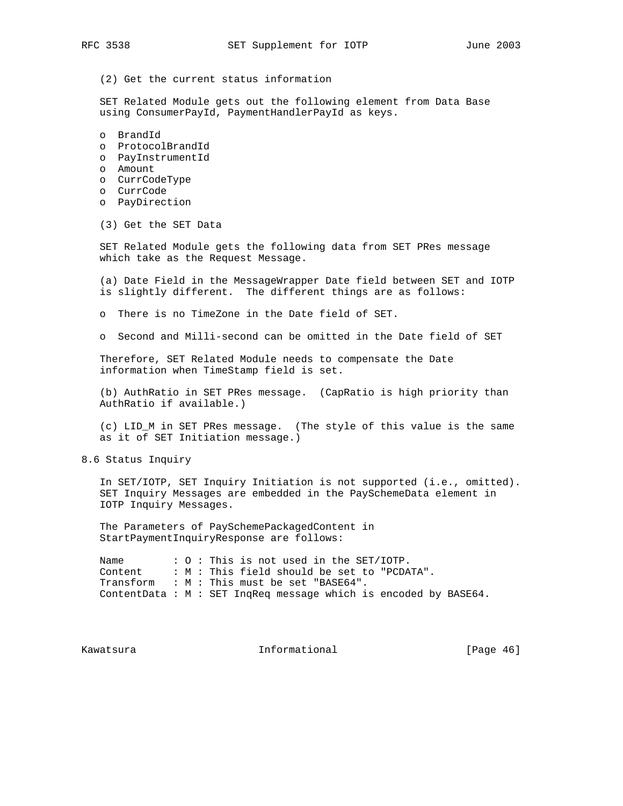(2) Get the current status information

 SET Related Module gets out the following element from Data Base using ConsumerPayId, PaymentHandlerPayId as keys.

- o BrandId
- o ProtocolBrandId
- o PayInstrumentId
- o Amount
- o CurrCodeType
- o CurrCode
- o PayDirection
- (3) Get the SET Data

 SET Related Module gets the following data from SET PRes message which take as the Request Message.

 (a) Date Field in the MessageWrapper Date field between SET and IOTP is slightly different. The different things are as follows:

o There is no TimeZone in the Date field of SET.

o Second and Milli-second can be omitted in the Date field of SET

 Therefore, SET Related Module needs to compensate the Date information when TimeStamp field is set.

 (b) AuthRatio in SET PRes message. (CapRatio is high priority than AuthRatio if available.)

 (c) LID\_M in SET PRes message. (The style of this value is the same as it of SET Initiation message.)

8.6 Status Inquiry

 In SET/IOTP, SET Inquiry Initiation is not supported (i.e., omitted). SET Inquiry Messages are embedded in the PaySchemeData element in IOTP Inquiry Messages.

 The Parameters of PaySchemePackagedContent in StartPaymentInquiryResponse are follows:

Name : O : This is not used in the SET/IOTP. Content : M : This field should be set to "PCDATA". Transform : M : This must be set "BASE64". ContentData : M : SET InqReq message which is encoded by BASE64.

Kawatsura 10 mm informational 11 mm informational (Page 46)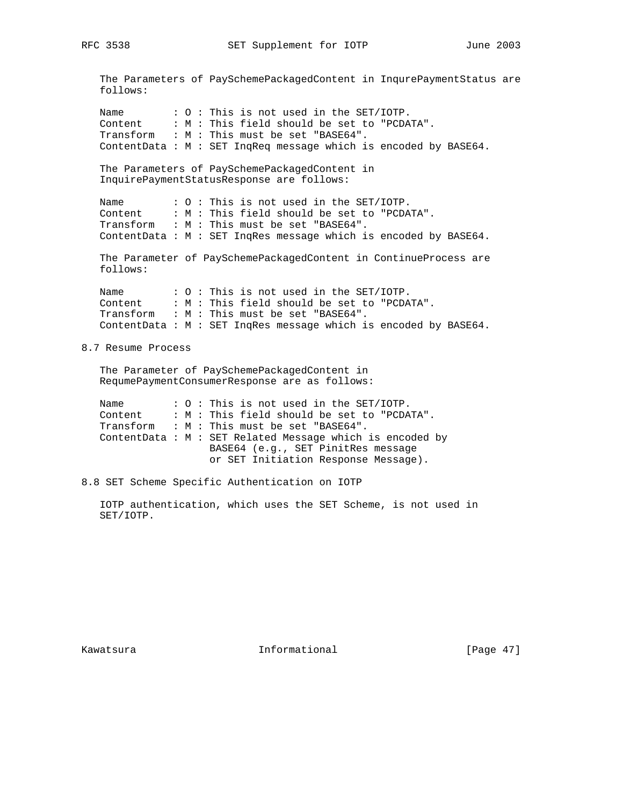The Parameters of PaySchemePackagedContent in InqurePaymentStatus are follows: Name :  $0 :$  This is not used in the SET/IOTP.<br>Content :  $M :$  This field should be Content : M : This field should be set to "PCDATA". Transform : M : This must be set "BASE64". ContentData : M : SET InqReq message which is encoded by BASE64. The Parameters of PaySchemePackagedContent in InquirePaymentStatusResponse are follows: Name : O : This is not used in the SET/IOTP. Content : M : This field should be set to "PCDATA". Transform : M : This must be set "BASE64". ContentData : M : SET InqRes message which is encoded by BASE64. The Parameter of PaySchemePackagedContent in ContinueProcess are follows: Name : O : This is not used in the SET/IOTP. Content : M : This field should be set to "PCDATA". Transform : M : This must be set "BASE64". ContentData : M : SET InqRes message which is encoded by BASE64. 8.7 Resume Process The Parameter of PaySchemePackagedContent in RequmePaymentConsumerResponse are as follows: Name : O : This is not used in the SET/IOTP.<br>Content : M : This field should be set to "PCDA : M : This field should be set to "PCDATA". Transform : M : This must be set "BASE64". ContentData : M : SET Related Message which is encoded by BASE64 (e.g., SET PinitRes message or SET Initiation Response Message). 8.8 SET Scheme Specific Authentication on IOTP IOTP authentication, which uses the SET Scheme, is not used in SET/IOTP.

Kawatsura 10 1nformational [Page 47]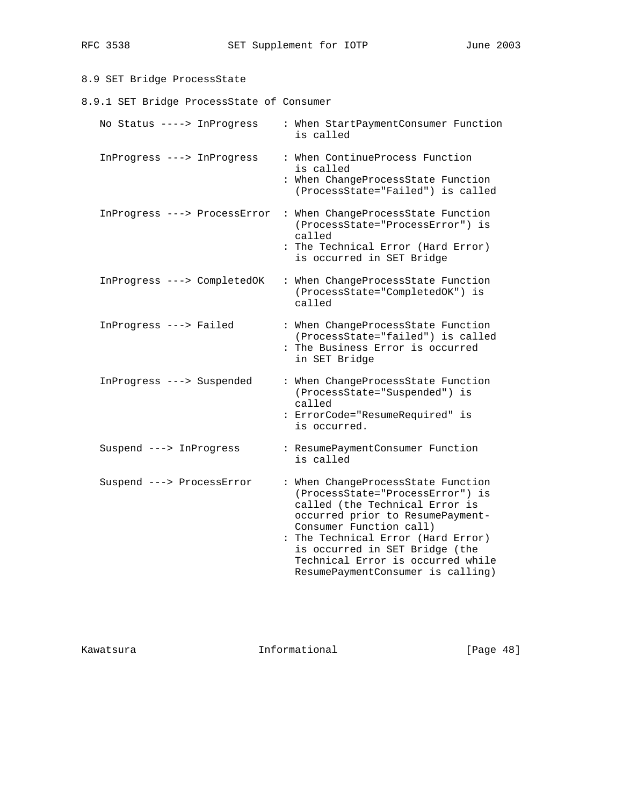# 8.9 SET Bridge ProcessState

8.9.1 SET Bridge ProcessState of Consumer

| No Status ----> InProgress   | : When StartPaymentConsumer Function<br>is called                                                                                                                                                                                                                                                                         |
|------------------------------|---------------------------------------------------------------------------------------------------------------------------------------------------------------------------------------------------------------------------------------------------------------------------------------------------------------------------|
| InProgress ---> InProgress   | : When ContinueProcess Function<br>is called<br>: When ChangeProcessState Function<br>(ProcessState="Failed") is called                                                                                                                                                                                                   |
| InProgress ---> ProcessError | : When ChangeProcessState Function<br>(ProcessState="ProcessError") is<br>called<br>: The Technical Error (Hard Error)<br>is occurred in SET Bridge                                                                                                                                                                       |
| InProgress ---> CompletedOK  | : When ChangeProcessState Function<br>(ProcessState="CompletedOK") is<br>called                                                                                                                                                                                                                                           |
| InProgress ---> Failed       | : When ChangeProcessState Function<br>(ProcessState="failed") is called<br>: The Business Error is occurred<br>in SET Bridge                                                                                                                                                                                              |
| InProgress ---> Suspended    | : When ChangeProcessState Function<br>(ProcessState="Suspended") is<br>called<br>: ErrorCode="ResumeRequired" is<br>is occurred.                                                                                                                                                                                          |
| Suspend ---> InProgress      | : ResumePaymentConsumer Function<br>is called                                                                                                                                                                                                                                                                             |
| Suspend ---> ProcessError    | : When ChangeProcessState Function<br>(ProcessState="ProcessError") is<br>called (the Technical Error is<br>occurred prior to ResumePayment-<br>Consumer Function call)<br>: The Technical Error (Hard Error)<br>is occurred in SET Bridge (the<br>Technical Error is occurred while<br>ResumePaymentConsumer is calling) |

Kawatsura 10 Informational [Page 48]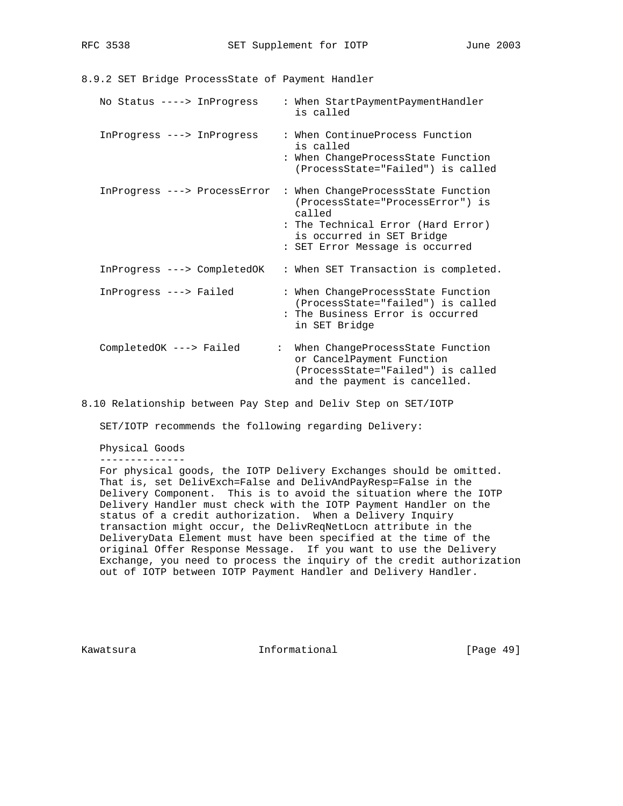8.9.2 SET Bridge ProcessState of Payment Handler No Status ----> InProgress : When StartPaymentPaymentHandler is called InProgress ---> InProgress : When ContinueProcess Function is called : When ChangeProcessState Function (ProcessState="Failed") is called InProgress ---> ProcessError : When ChangeProcessState Function (ProcessState="ProcessError") is called : The Technical Error (Hard Error) is occurred in SET Bridge : SET Error Message is occurred InProgress ---> CompletedOK : When SET Transaction is completed. InProgress ---> Failed : When ChangeProcessState Function (ProcessState="failed") is called : The Business Error is occurred in SET Bridge CompletedOK ---> Failed : When ChangeProcessState Function or CancelPayment Function (ProcessState="Failed") is called and the payment is cancelled.

8.10 Relationship between Pay Step and Deliv Step on SET/IOTP

SET/IOTP recommends the following regarding Delivery:

 Physical Goods --------------

 For physical goods, the IOTP Delivery Exchanges should be omitted. That is, set DelivExch=False and DelivAndPayResp=False in the Delivery Component. This is to avoid the situation where the IOTP Delivery Handler must check with the IOTP Payment Handler on the status of a credit authorization. When a Delivery Inquiry transaction might occur, the DelivReqNetLocn attribute in the DeliveryData Element must have been specified at the time of the original Offer Response Message. If you want to use the Delivery Exchange, you need to process the inquiry of the credit authorization out of IOTP between IOTP Payment Handler and Delivery Handler.

Kawatsura Informational [Page 49]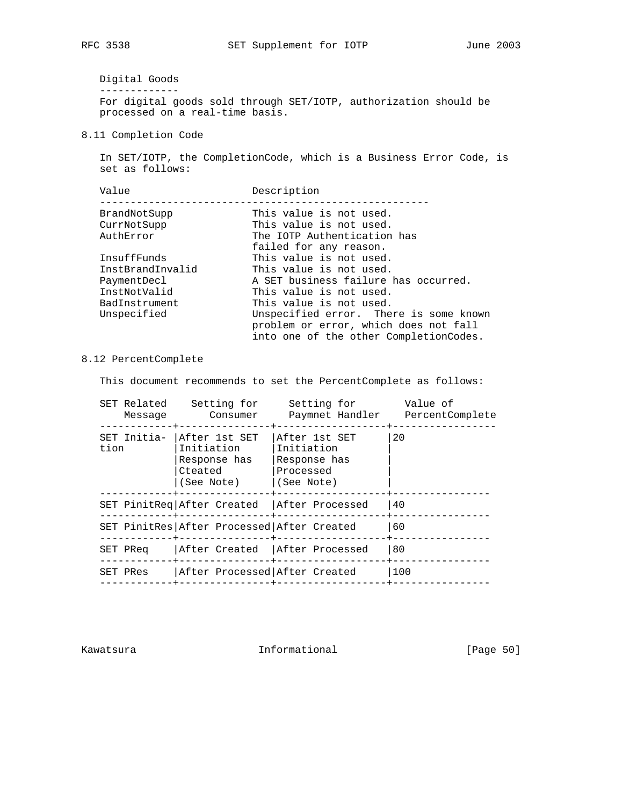Digital Goods ------------- For digital goods sold through SET/IOTP, authorization should be processed on a real-time basis.

8.11 Completion Code

 In SET/IOTP, the CompletionCode, which is a Business Error Code, is set as follows:

Value Description ------------------------------------------------------ BrandNotSupp This value is not used. CurrNotSupp This value is not used. AuthError The IOTP Authentication has failed for any reason. InsuffFunds This value is not used. InstBrandInvalid This value is not used. PaymentDecl **A SET business failure has occurred.**  InstNotValid This value is not used. BadInstrument This value is not used. Unspecified Unspecified error. There is some known problem or error, which does not fall into one of the other CompletionCodes.

### 8.12 PercentComplete

This document recommends to set the PercentComplete as follows:

|      | SET Related<br>Message | Setting for<br>Consumer                                              | Setting for<br>Paymnet Handler                                         | Value of<br>PercentComplete |
|------|------------------------|----------------------------------------------------------------------|------------------------------------------------------------------------|-----------------------------|
| tion | SET Initia-            | After 1st SET<br>Initiation<br>Response has<br>Cteated<br>(See Note) | After 1st SET<br>Initiation<br>Response has<br>Processed<br>(See Note) | 20                          |
|      |                        | SET PinitReg After Created                                           | After Processed                                                        | 40                          |
|      |                        | SET PinitRes After Processed After Created                           |                                                                        | 60                          |
|      | SET PReg               | After Created                                                        | After Processed                                                        | 80                          |
|      | SET PRes               | After Processed After Created                                        |                                                                        | 100                         |
|      |                        |                                                                      |                                                                        |                             |

Kawatsura 10 1nformational [Page 50]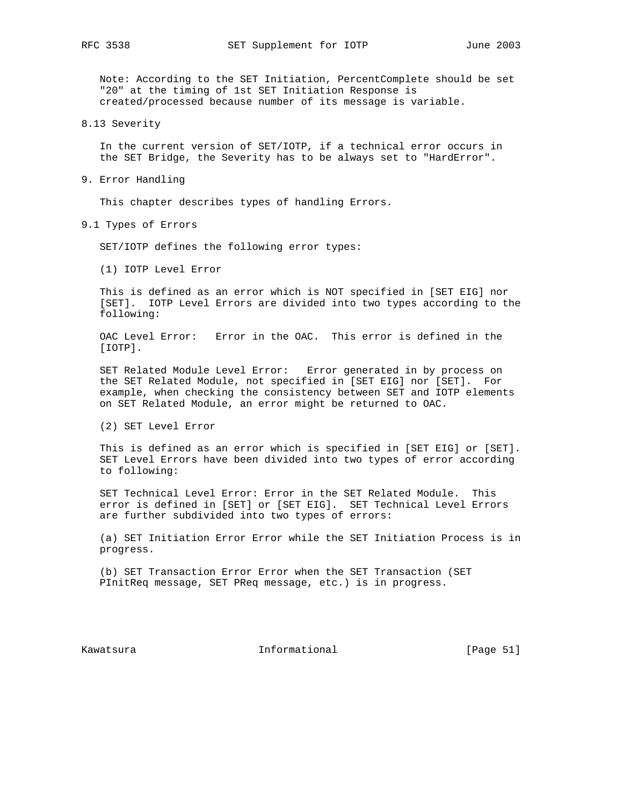Note: According to the SET Initiation, PercentComplete should be set "20" at the timing of 1st SET Initiation Response is created/processed because number of its message is variable.

8.13 Severity

 In the current version of SET/IOTP, if a technical error occurs in the SET Bridge, the Severity has to be always set to "HardError".

9. Error Handling

This chapter describes types of handling Errors.

9.1 Types of Errors

SET/IOTP defines the following error types:

(1) IOTP Level Error

 This is defined as an error which is NOT specified in [SET EIG] nor [SET]. IOTP Level Errors are divided into two types according to the following:

 OAC Level Error: Error in the OAC. This error is defined in the [IOTP].

 SET Related Module Level Error: Error generated in by process on the SET Related Module, not specified in [SET EIG] nor [SET]. For example, when checking the consistency between SET and IOTP elements on SET Related Module, an error might be returned to OAC.

(2) SET Level Error

 This is defined as an error which is specified in [SET EIG] or [SET]. SET Level Errors have been divided into two types of error according to following:

 SET Technical Level Error: Error in the SET Related Module. This error is defined in [SET] or [SET EIG]. SET Technical Level Errors are further subdivided into two types of errors:

 (a) SET Initiation Error Error while the SET Initiation Process is in progress.

 (b) SET Transaction Error Error when the SET Transaction (SET PInitReq message, SET PReq message, etc.) is in progress.

Kawatsura 10 1 Informational 111 [Page 51]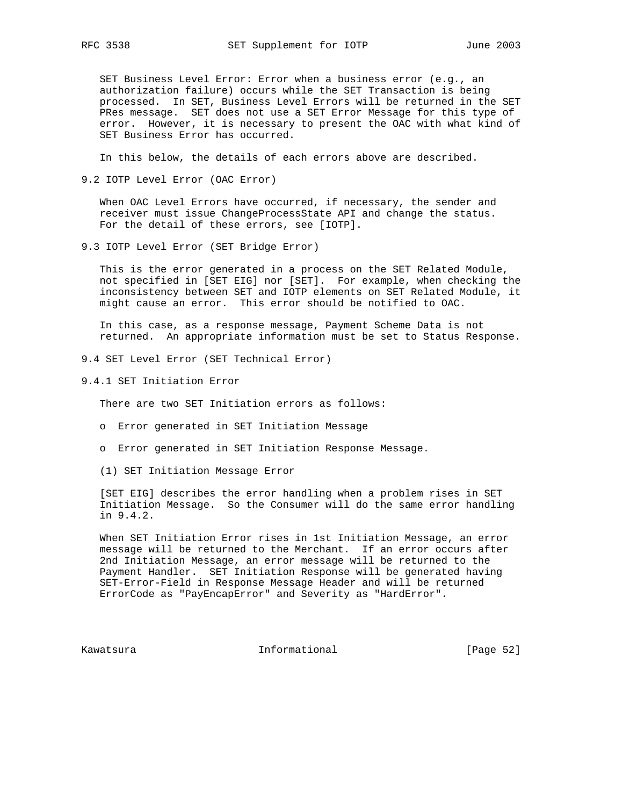SET Business Level Error: Error when a business error (e.g., an authorization failure) occurs while the SET Transaction is being processed. In SET, Business Level Errors will be returned in the SET PRes message. SET does not use a SET Error Message for this type of error. However, it is necessary to present the OAC with what kind of SET Business Error has occurred.

In this below, the details of each errors above are described.

9.2 IOTP Level Error (OAC Error)

 When OAC Level Errors have occurred, if necessary, the sender and receiver must issue ChangeProcessState API and change the status. For the detail of these errors, see [IOTP].

9.3 IOTP Level Error (SET Bridge Error)

 This is the error generated in a process on the SET Related Module, not specified in [SET EIG] nor [SET]. For example, when checking the inconsistency between SET and IOTP elements on SET Related Module, it might cause an error. This error should be notified to OAC.

 In this case, as a response message, Payment Scheme Data is not returned. An appropriate information must be set to Status Response.

- 9.4 SET Level Error (SET Technical Error)
- 9.4.1 SET Initiation Error

There are two SET Initiation errors as follows:

- o Error generated in SET Initiation Message
- o Error generated in SET Initiation Response Message.
- (1) SET Initiation Message Error

 [SET EIG] describes the error handling when a problem rises in SET Initiation Message. So the Consumer will do the same error handling in 9.4.2.

 When SET Initiation Error rises in 1st Initiation Message, an error message will be returned to the Merchant. If an error occurs after 2nd Initiation Message, an error message will be returned to the Payment Handler. SET Initiation Response will be generated having SET-Error-Field in Response Message Header and will be returned ErrorCode as "PayEncapError" and Severity as "HardError".

Kawatsura 10 Informational [Page 52]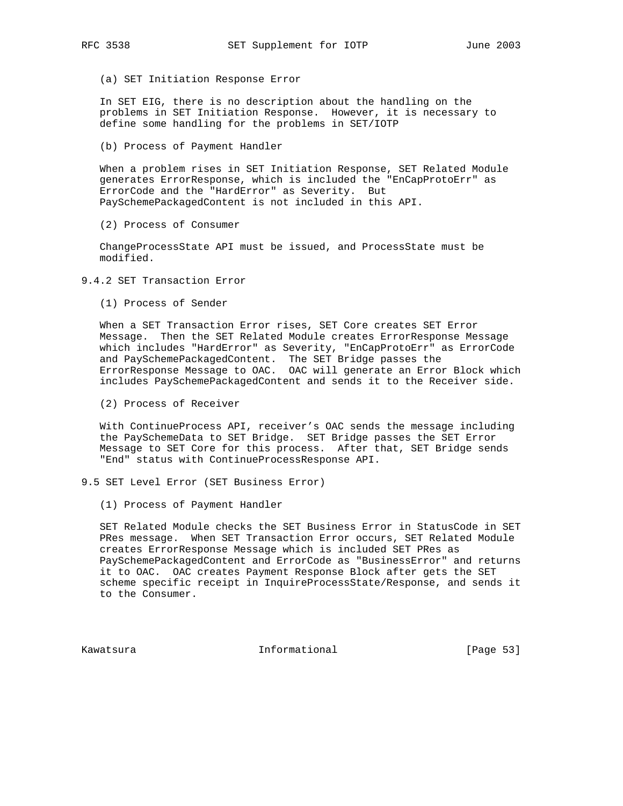(a) SET Initiation Response Error

 In SET EIG, there is no description about the handling on the problems in SET Initiation Response. However, it is necessary to define some handling for the problems in SET/IOTP

(b) Process of Payment Handler

 When a problem rises in SET Initiation Response, SET Related Module generates ErrorResponse, which is included the "EnCapProtoErr" as ErrorCode and the "HardError" as Severity. But PaySchemePackagedContent is not included in this API.

(2) Process of Consumer

 ChangeProcessState API must be issued, and ProcessState must be modified.

9.4.2 SET Transaction Error

(1) Process of Sender

 When a SET Transaction Error rises, SET Core creates SET Error Message. Then the SET Related Module creates ErrorResponse Message which includes "HardError" as Severity, "EnCapProtoErr" as ErrorCode and PaySchemePackagedContent. The SET Bridge passes the ErrorResponse Message to OAC. OAC will generate an Error Block which includes PaySchemePackagedContent and sends it to the Receiver side.

(2) Process of Receiver

 With ContinueProcess API, receiver's OAC sends the message including the PaySchemeData to SET Bridge. SET Bridge passes the SET Error Message to SET Core for this process. After that, SET Bridge sends "End" status with ContinueProcessResponse API.

9.5 SET Level Error (SET Business Error)

(1) Process of Payment Handler

 SET Related Module checks the SET Business Error in StatusCode in SET PRes message. When SET Transaction Error occurs, SET Related Module creates ErrorResponse Message which is included SET PRes as PaySchemePackagedContent and ErrorCode as "BusinessError" and returns it to OAC. OAC creates Payment Response Block after gets the SET scheme specific receipt in InquireProcessState/Response, and sends it to the Consumer.

Kawatsura 10 Informational 111 [Page 53]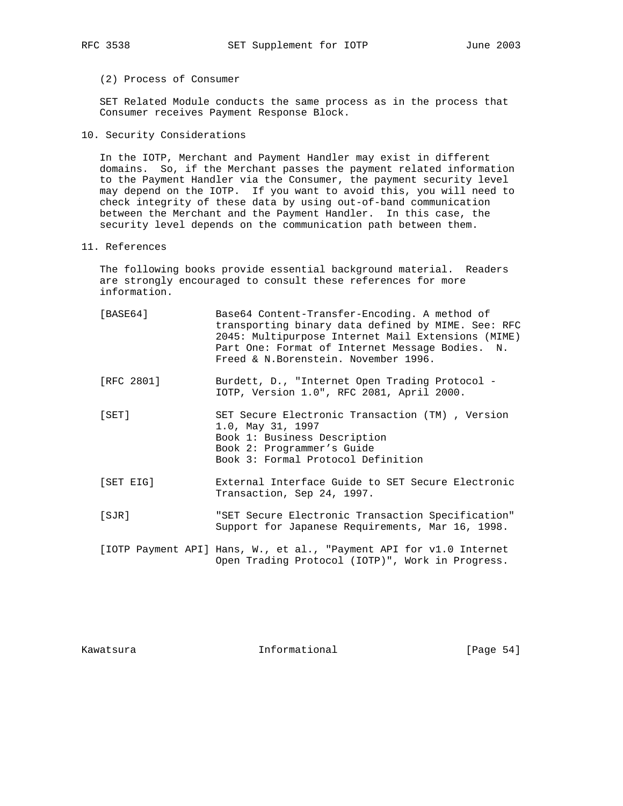## (2) Process of Consumer

 SET Related Module conducts the same process as in the process that Consumer receives Payment Response Block.

10. Security Considerations

 In the IOTP, Merchant and Payment Handler may exist in different domains. So, if the Merchant passes the payment related information to the Payment Handler via the Consumer, the payment security level may depend on the IOTP. If you want to avoid this, you will need to check integrity of these data by using out-of-band communication between the Merchant and the Payment Handler. In this case, the security level depends on the communication path between them.

11. References

 The following books provide essential background material. Readers are strongly encouraged to consult these references for more information.

| [BASE64]   | Base64 Content-Transfer-Encoding. A method of<br>transporting binary data defined by MIME. See: RFC<br>2045: Multipurpose Internet Mail Extensions (MIME)<br>Part One: Format of Internet Message Bodies. N.<br>Freed & N.Borenstein. November 1996. |
|------------|------------------------------------------------------------------------------------------------------------------------------------------------------------------------------------------------------------------------------------------------------|
| [RFC 2801] | Burdett, D., "Internet Open Trading Protocol -<br>IOTP, Version 1.0", RFC 2081, April 2000.                                                                                                                                                          |
| [SET]      | SET Secure Electronic Transaction (TM), Version<br>1.0, May 31, 1997<br>Book 1: Business Description<br>Book 2: Programmer's Guide<br>Book 3: Formal Protocol Definition                                                                             |
| [SET EIG]  | External Interface Guide to SET Secure Electronic<br>Transaction, Sep 24, 1997.                                                                                                                                                                      |
| SJR        | "SET Secure Electronic Transaction Specification"<br>Support for Japanese Requirements, Mar 16, 1998.                                                                                                                                                |
|            | [IOTP Payment API] Hans, W., et al., "Payment API for v1.0 Internet<br>Open Trading Protocol (IOTP)", Work in Progress.                                                                                                                              |

Kawatsura 10 1nformational [Page 54]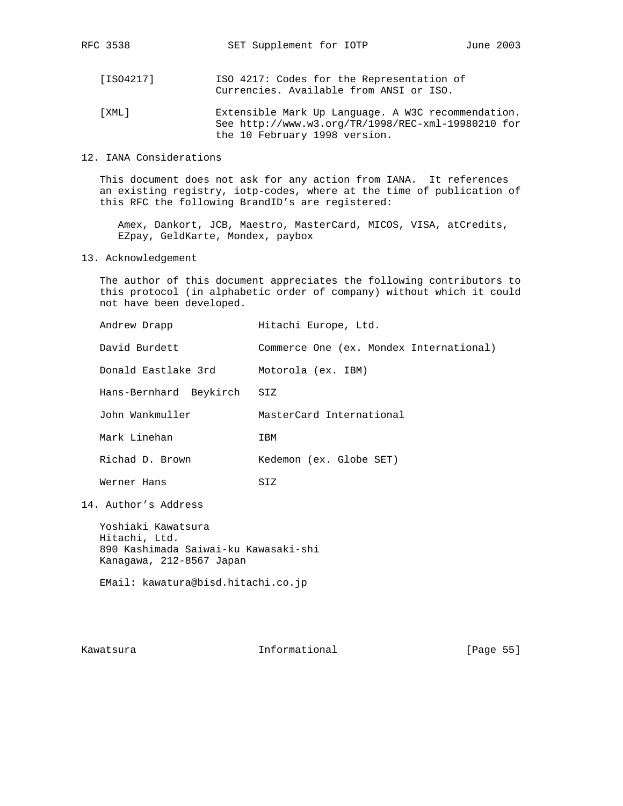- [ISO4217] ISO 4217: Codes for the Representation of Currencies. Available from ANSI or ISO.
- [XML] Extensible Mark Up Language. A W3C recommendation. See http://www.w3.org/TR/1998/REC-xml-19980210 for the 10 February 1998 version.

12. IANA Considerations

 This document does not ask for any action from IANA. It references an existing registry, iotp-codes, where at the time of publication of this RFC the following BrandID's are registered:

 Amex, Dankort, JCB, Maestro, MasterCard, MICOS, VISA, atCredits, EZpay, GeldKarte, Mondex, paybox

13. Acknowledgement

 The author of this document appreciates the following contributors to this protocol (in alphabetic order of company) without which it could not have been developed.

| Andrew Drapp | Hitachi Europe, Ltd. |
|--------------|----------------------|
|--------------|----------------------|

David Burdett Commerce One (ex. Mondex International)

Donald Eastlake 3rd Motorola (ex. IBM)

Hans-Bernhard Beykirch SIZ

John Wankmuller MasterCard International

Mark Linehan **IBM** 

Richad D. Brown Kedemon (ex. Globe SET)

Werner Hans SIZ

14. Author's Address

 Yoshiaki Kawatsura Hitachi, Ltd. 890 Kashimada Saiwai-ku Kawasaki-shi Kanagawa, 212-8567 Japan

EMail: kawatura@bisd.hitachi.co.jp

Kawatsura 10 1nformational [Page 55]